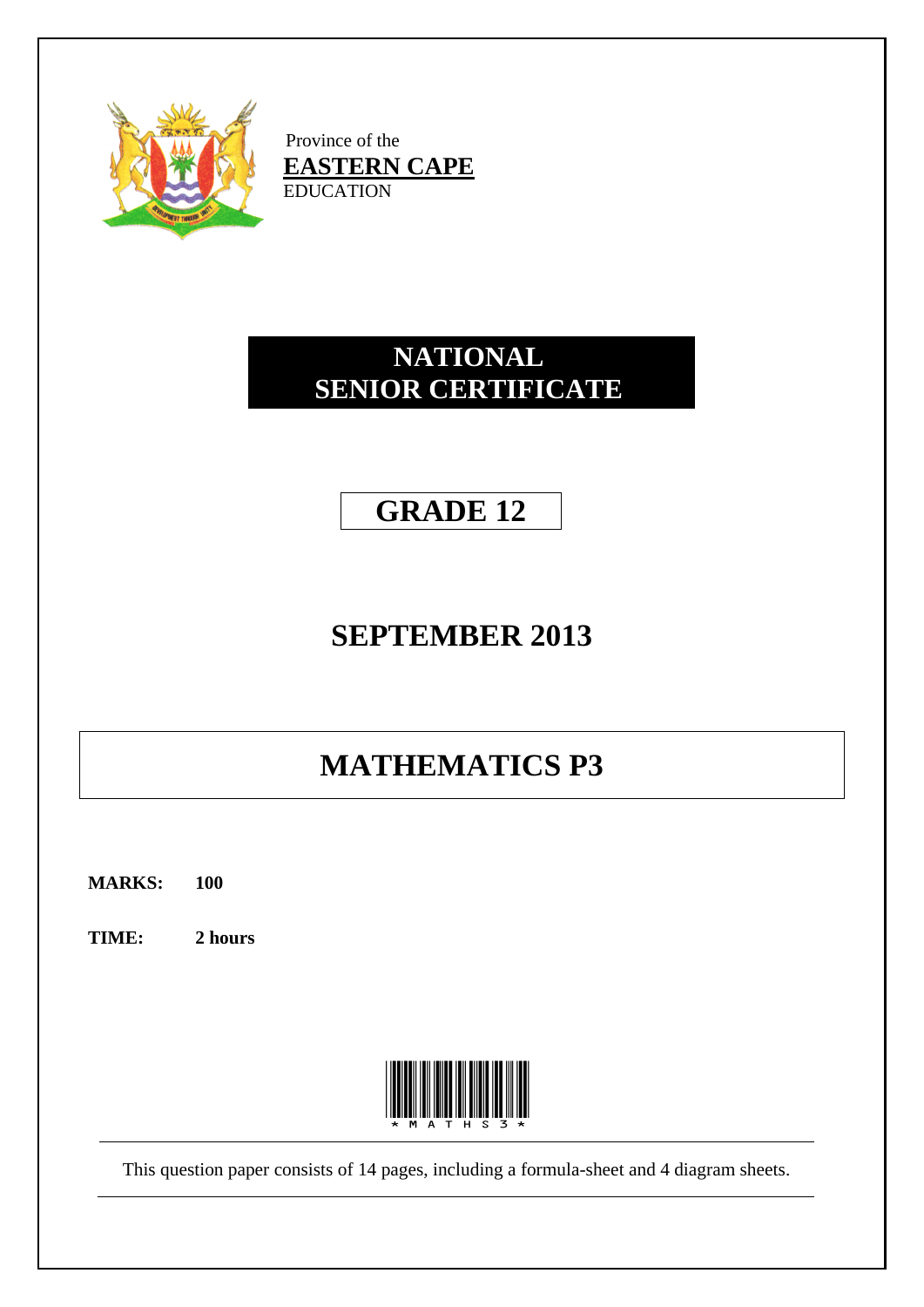

Province of the **EASTERN CAPE** EDUCATION

# **NATIONAL SENIOR CERTIFICATE**

# **GRADE 12**

# **SEPTEMBER 2013**

# **MATHEMATICS P3**

**MARKS: 100**

**TIME: 2 hours**



This question paper consists of 14 pages, including a formula-sheet and 4 diagram sheets.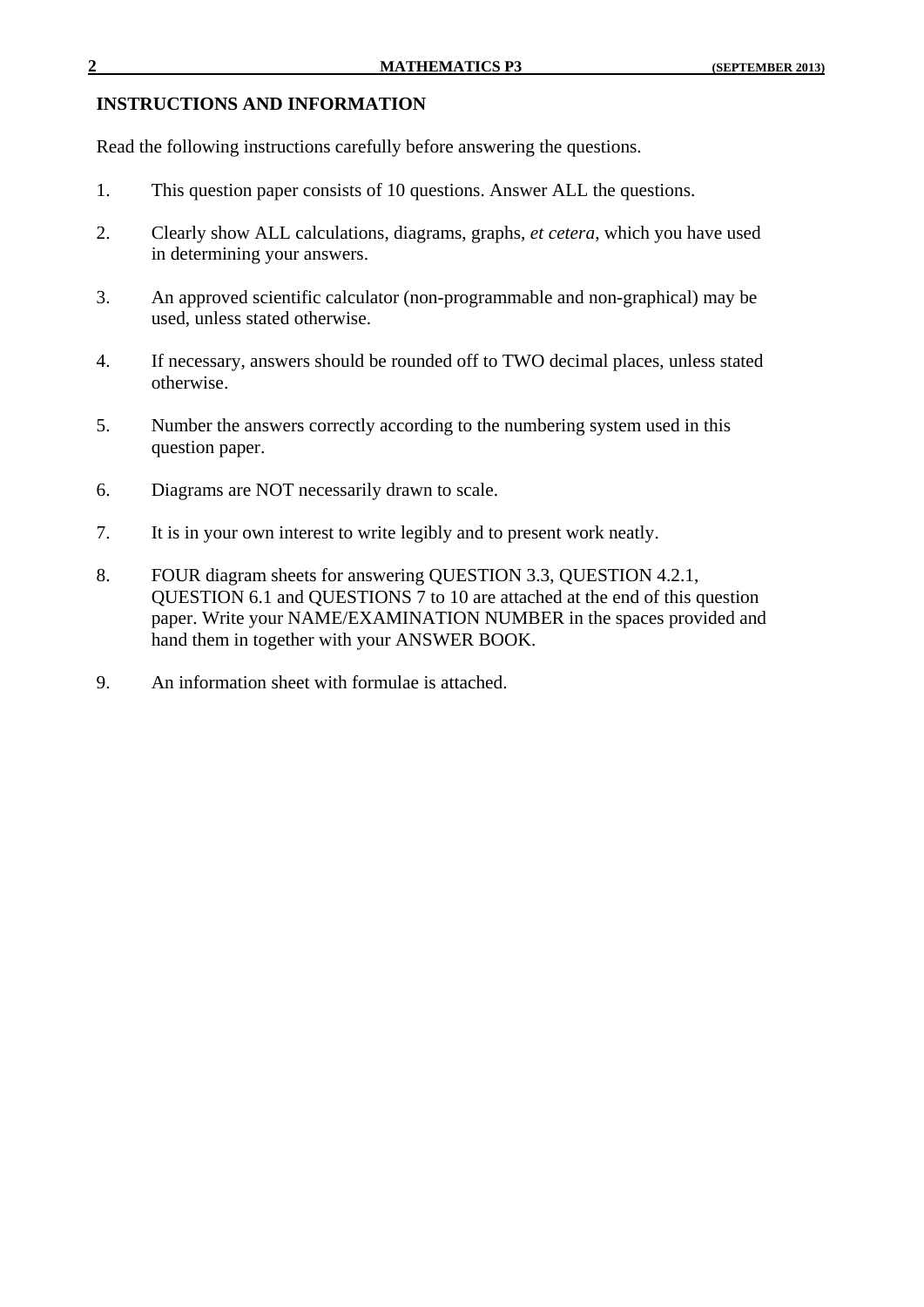#### **INSTRUCTIONS AND INFORMATION**

Read the following instructions carefully before answering the questions.

- 1. This question paper consists of 10 questions. Answer ALL the questions.
- 2. Clearly show ALL calculations, diagrams, graphs, *et cetera*, which you have used in determining your answers.
- 3. An approved scientific calculator (non-programmable and non-graphical) may be used, unless stated otherwise.
- 4. If necessary, answers should be rounded off to TWO decimal places, unless stated otherwise.
- 5. Number the answers correctly according to the numbering system used in this question paper.
- 6. Diagrams are NOT necessarily drawn to scale.
- 7. It is in your own interest to write legibly and to present work neatly.
- 8. FOUR diagram sheets for answering QUESTION 3.3, QUESTION 4.2.1, QUESTION 6.1 and QUESTIONS 7 to 10 are attached at the end of this question paper. Write your NAME/EXAMINATION NUMBER in the spaces provided and hand them in together with your ANSWER BOOK.
- 9. An information sheet with formulae is attached.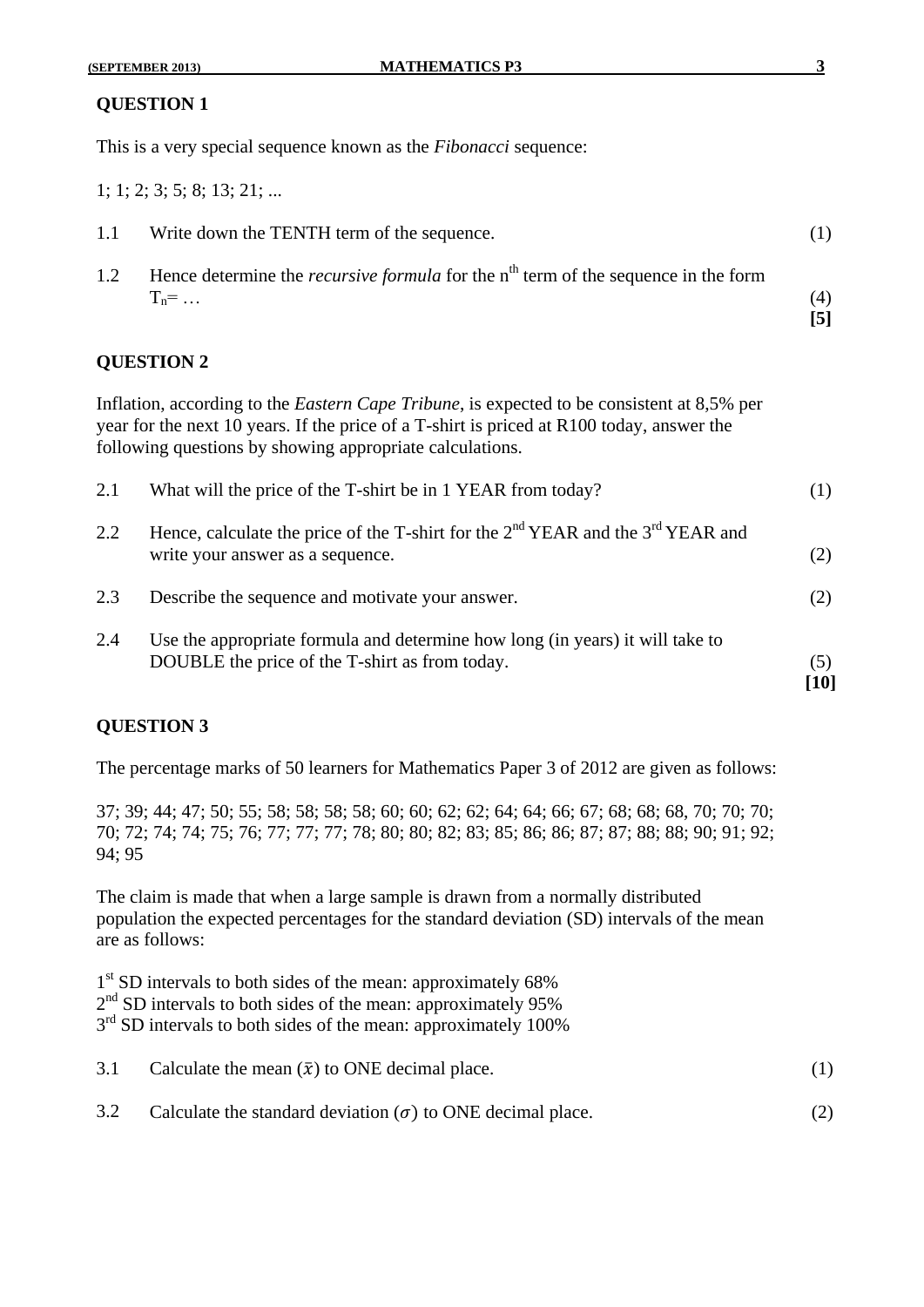### **QUESTION 1**

This is a very special sequence known as the *Fibonacci* sequence:

1; 1; 2; 3; 5; 8; 13; 21; ...

| 1.1 | Write down the TENTH term of the sequence.                                                                    |     |
|-----|---------------------------------------------------------------------------------------------------------------|-----|
| 1.2 | Hence determine the <i>recursive formula</i> for the $nth$ term of the sequence in the form<br>$T_n = \ldots$ | (4) |

### **QUESTION 2**

Inflation, according to the *Eastern Cape Tribune*, is expected to be consistent at 8,5% per year for the next 10 years. If the price of a T-shirt is priced at R100 today, answer the following questions by showing appropriate calculations.

|     |                                                                                                                                 | [10] |
|-----|---------------------------------------------------------------------------------------------------------------------------------|------|
| 2.4 | Use the appropriate formula and determine how long (in years) it will take to<br>DOUBLE the price of the T-shirt as from today. | (5)  |
| 2.3 | Describe the sequence and motivate your answer.                                                                                 | (2)  |
| 2.2 | Hence, calculate the price of the T-shirt for the $2nd YEAR$ and the $3rd YEAR$ and<br>write your answer as a sequence.         | (2)  |
| 2.1 | What will the price of the T-shirt be in 1 YEAR from today?                                                                     | (1)  |

### **QUESTION 3**

The percentage marks of 50 learners for Mathematics Paper 3 of 2012 are given as follows:

37; 39; 44; 47; 50; 55; 58; 58; 58; 58; 60; 60; 62; 62; 64; 64; 66; 67; 68; 68; 68, 70; 70; 70; 70; 72; 74; 74; 75; 76; 77; 77; 77; 78; 80; 80; 82; 83; 85; 86; 86; 87; 87; 88; 88; 90; 91; 92; 94; 95

The claim is made that when a large sample is drawn from a normally distributed population the expected percentages for the standard deviation (SD) intervals of the mean are as follows:

1<sup>st</sup> SD intervals to both sides of the mean: approximately 68% 2<sup>nd</sup> SD intervals to both sides of the mean: approximately 95% 3<sup>rd</sup> SD intervals to both sides of the mean: approximately 100%

| 3.1 Calculate the mean $(\bar{x})$ to ONE decimal place. |  |
|----------------------------------------------------------|--|
|                                                          |  |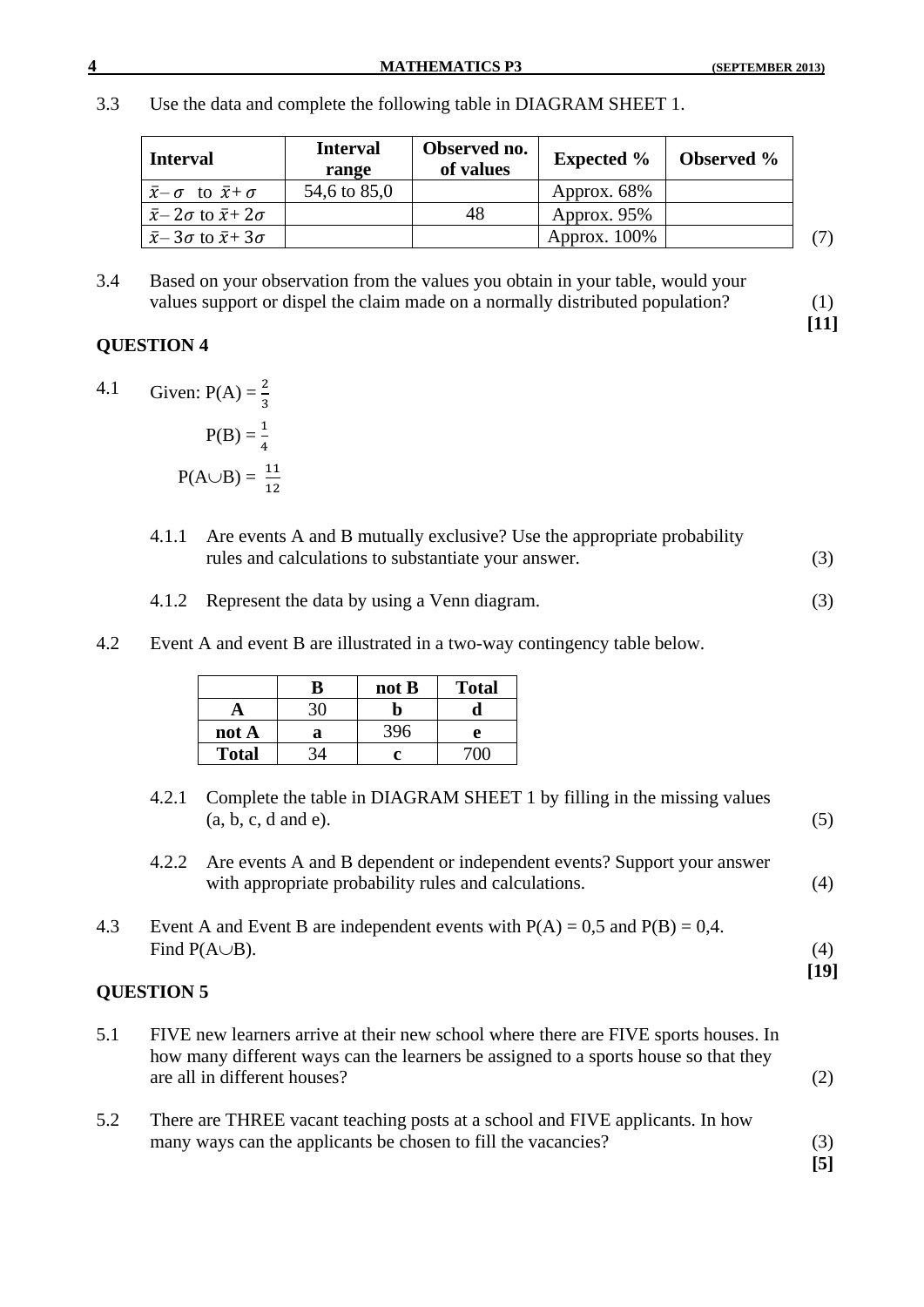3.3 Use the data and complete the following table in DIAGRAM SHEET 1.

| <b>Interval</b>                                  | <b>Interval</b><br>range | Observed no.<br>of values | <b>Expected %</b> | <b>Observed</b> % |     |
|--------------------------------------------------|--------------------------|---------------------------|-------------------|-------------------|-----|
| $\bar{x}$ - $\sigma$ to $\bar{x}$ + $\sigma$     | 54,6 to 85,0             |                           | Approx. 68%       |                   |     |
| $\bar{x}$ – 2 $\sigma$ to $\bar{x}$ + 2 $\sigma$ |                          | 48                        | Approx. 95%       |                   |     |
| $\bar{x}$ – 3 $\sigma$ to $\bar{x}$ +3 $\sigma$  |                          |                           | Approx. $100\%$   |                   | (7) |

3.4 Based on your observation from the values you obtain in your table, would your values support or dispel the claim made on a normally distributed population? (1)

#### **QUESTION 4**

- 4.1 Given:  $P(A) = \frac{2}{3}$  $P(B) = \frac{1}{4}$  $P(A \cup B) = \frac{1}{1}$ 
	- 4.1.1 Are events A and B mutually exclusive? Use the appropriate probability rules and calculations to substantiate your answer. (3)
	- 4.1.2 Represent the data by using a Venn diagram. (3)
- 4.2 Event A and event B are illustrated in a two-way contingency table below.

|              | B | not B | <b>Total</b> |
|--------------|---|-------|--------------|
|              |   |       |              |
| not A        | a | 396   | e            |
| <b>Total</b> |   |       |              |

- 4.2.1 Complete the table in DIAGRAM SHEET 1 by filling in the missing values  $(a, b, c, d \text{ and } e).$  (5)
- 4.2.2 Are events A and B dependent or independent events? Support your answer with appropriate probability rules and calculations. (4)
- 4.3 Event A and Event B are independent events with  $P(A) = 0.5$  and  $P(B) = 0.4$ . Find  $P(A \cup B)$ . (4) **[19]**

### **QUESTION 5**

- 5.1 FIVE new learners arrive at their new school where there are FIVE sports houses. In how many different ways can the learners be assigned to a sports house so that they are all in different houses? (2)
- 5.2 There are THREE vacant teaching posts at a school and FIVE applicants. In how many ways can the applicants be chosen to fill the vacancies? (3)

**[11]**

**[5]**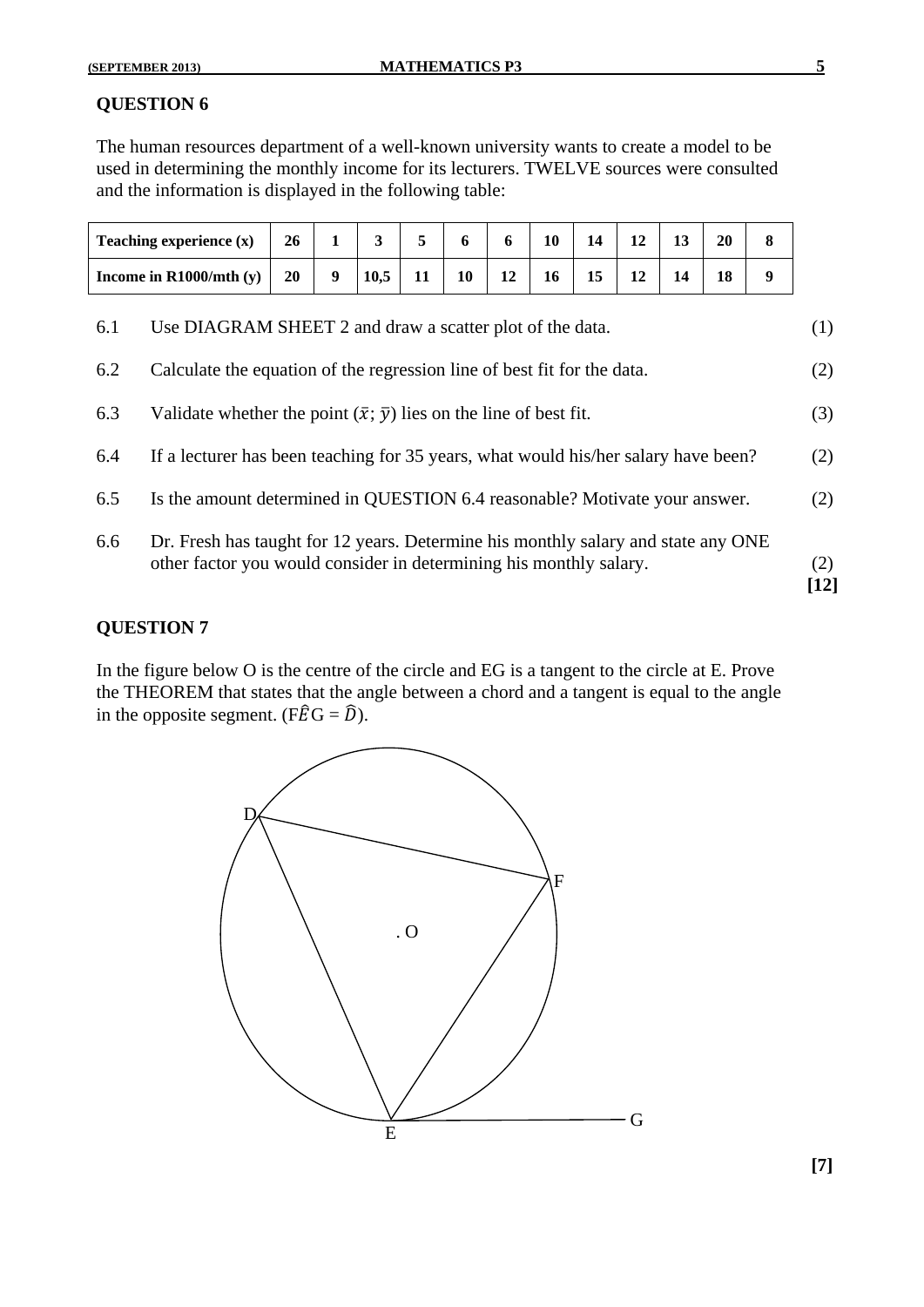### **QUESTION 6**

The human resources department of a well-known university wants to create a model to be used in determining the monthly income for its lecturers. TWELVE sources were consulted and the information is displayed in the following table:

| Teaching experience $(x)$ | 26 |      |    | $\mathbf{D}$ | 10 |  | 20 |  |
|---------------------------|----|------|----|--------------|----|--|----|--|
| Income in $R1000/mL$ (y)  | 20 | 10.5 | 10 | 12           | 16 |  |    |  |

| 6.6 | Dr. Fresh has taught for 12 years. Determine his monthly salary and state any ONE<br>other factor you would consider in determining his monthly salary. | (2)<br>[12] |
|-----|---------------------------------------------------------------------------------------------------------------------------------------------------------|-------------|
| 6.5 | Is the amount determined in QUESTION 6.4 reasonable? Motivate your answer.                                                                              | (2)         |
| 6.4 | If a lecturer has been teaching for 35 years, what would his/her salary have been?                                                                      | (2)         |
| 6.3 | Validate whether the point $(\bar{x}; \bar{y})$ lies on the line of best fit.                                                                           | (3)         |
| 6.2 | Calculate the equation of the regression line of best fit for the data.                                                                                 | (2)         |
| 6.1 | Use DIAGRAM SHEET 2 and draw a scatter plot of the data.                                                                                                | (1)         |

### **QUESTION 7**

In the figure below O is the centre of the circle and EG is a tangent to the circle at E. Prove the THEOREM that states that the angle between a chord and a tangent is equal to the angle in the opposite segment. (F $\hat{E} G = \hat{D}$ ).



**[7]**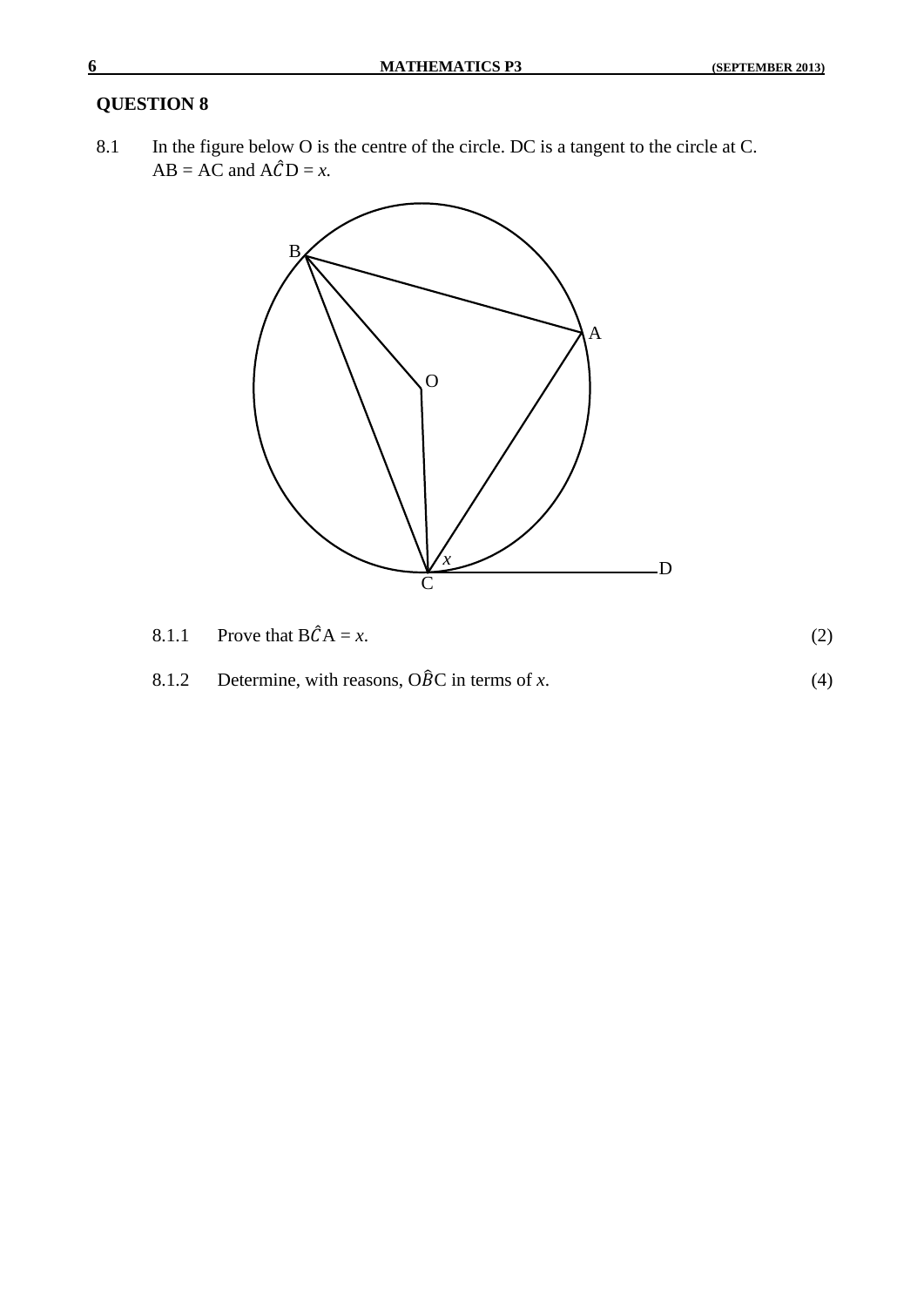### **QUESTION 8**

8.1 In the figure below O is the centre of the circle. DC is a tangent to the circle at C.  $AB = AC$  and  $A\hat{C}D = x$ .



- 8.1.1 Prove that  $B\hat{C}A = x$ . (2)
- 8.1.2 Determine, with reasons,  $\widehat{OBC}$  in terms of *x*. (4)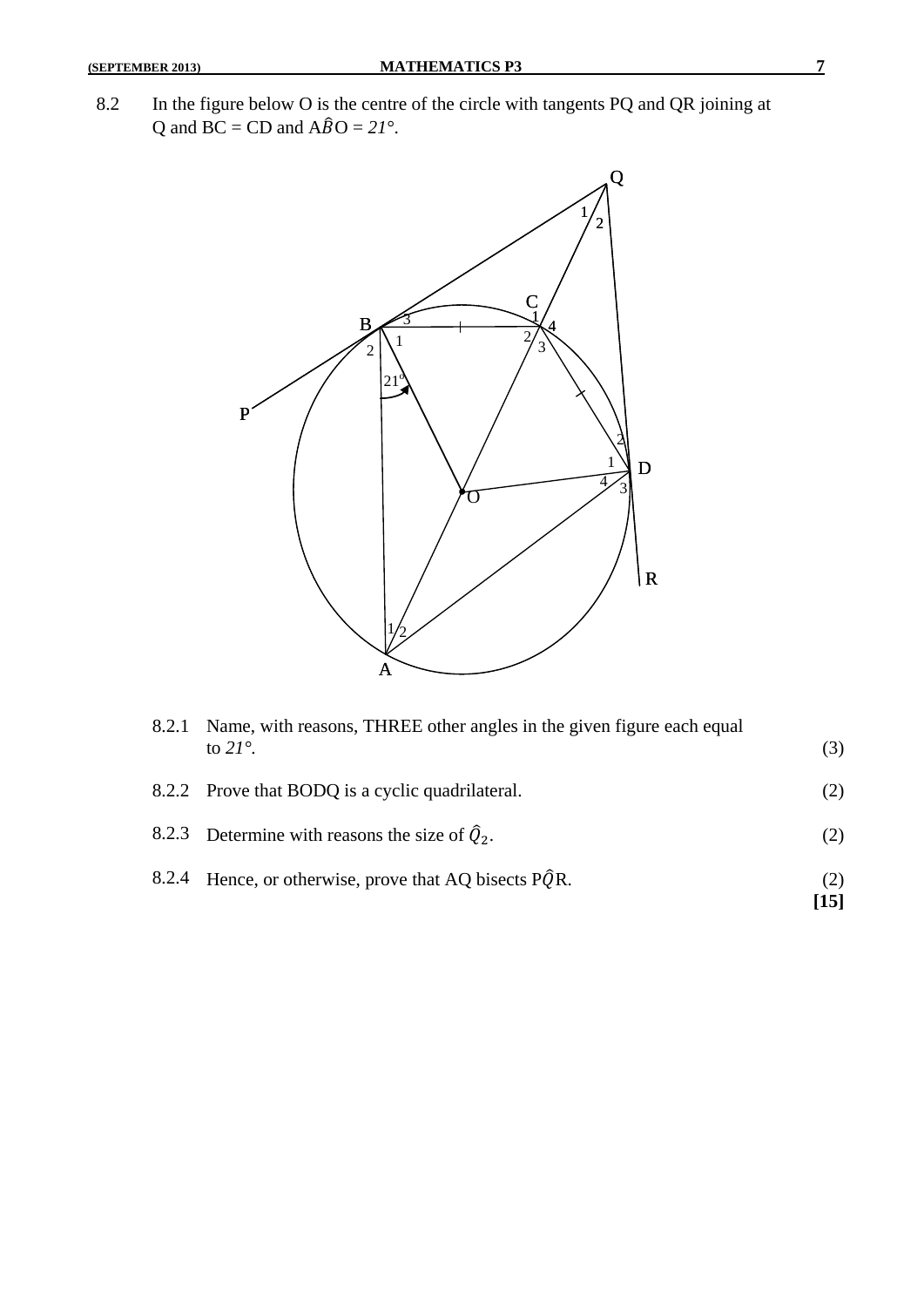8.2 In the figure below O is the centre of the circle with tangents PQ and QR joining at Q and  $\overline{BC} = \overline{CD}$  and  $\overline{A}\overline{B}O = 2I^{\circ}$ .



| 8.2.1 | Name, with reasons, THREE other angles in the given figure each equal<br>to $21^\circ$ . | (3)         |
|-------|------------------------------------------------------------------------------------------|-------------|
|       | 8.2.2 Prove that BODQ is a cyclic quadrilateral.                                         | (2)         |
|       | 8.2.3 Determine with reasons the size of $\hat{Q}_2$ .                                   | (2)         |
|       | 8.2.4 Hence, or otherwise, prove that AQ bisects $\angle PQR$ .                          | (2)<br>[15] |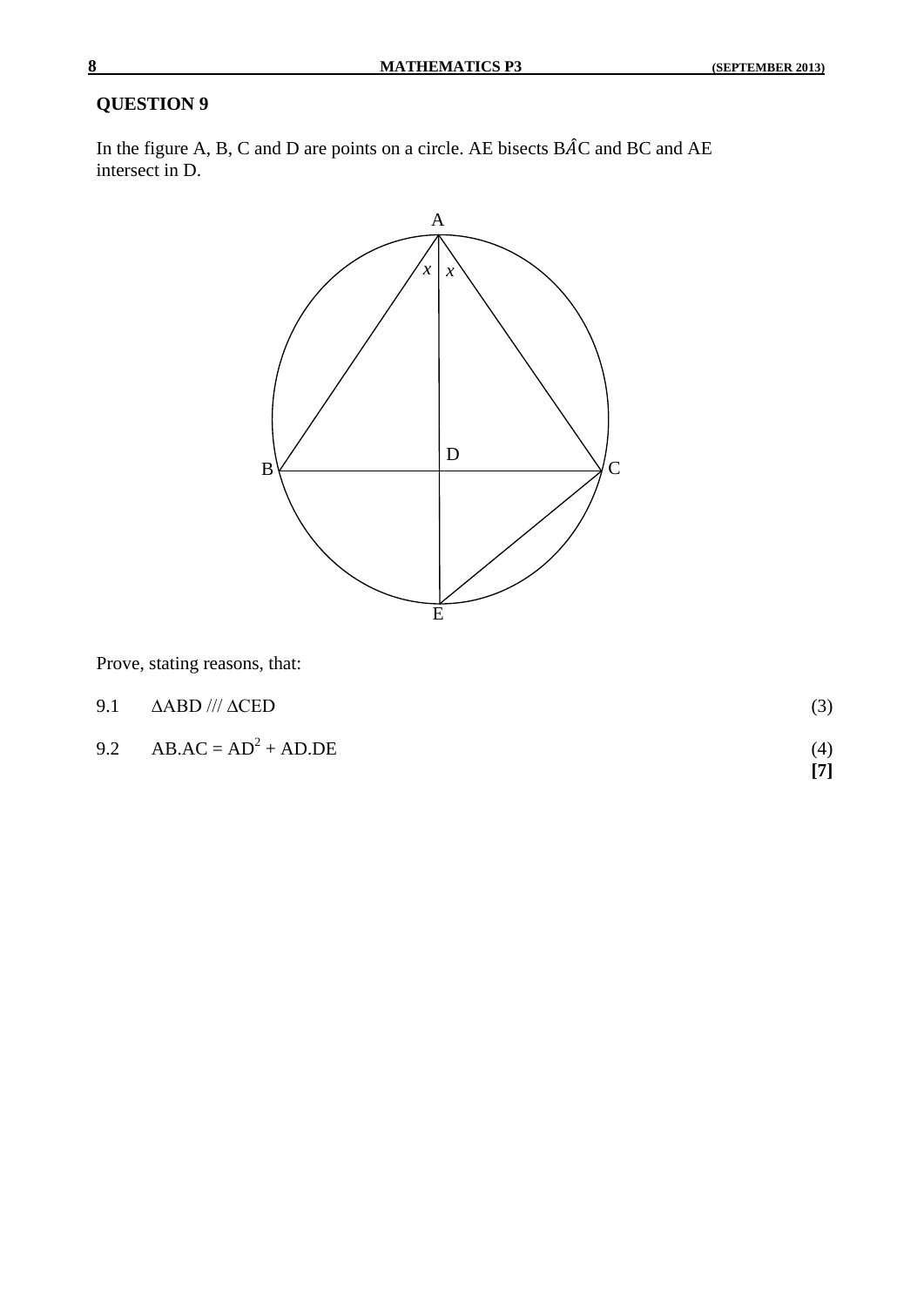### **QUESTION 9**

In the figure A, B, C and D are points on a circle. AE bisects  $\angle$ BAC and BC and AE intersect in D.



Prove, stating reasons, that:

| 9.1 $\triangle ABD$ /// $\triangle CED$ |                   |
|-----------------------------------------|-------------------|
| 9.2 AB.AC = $AD^2$ + AD.DE              | (4)<br>$\sqrt{7}$ |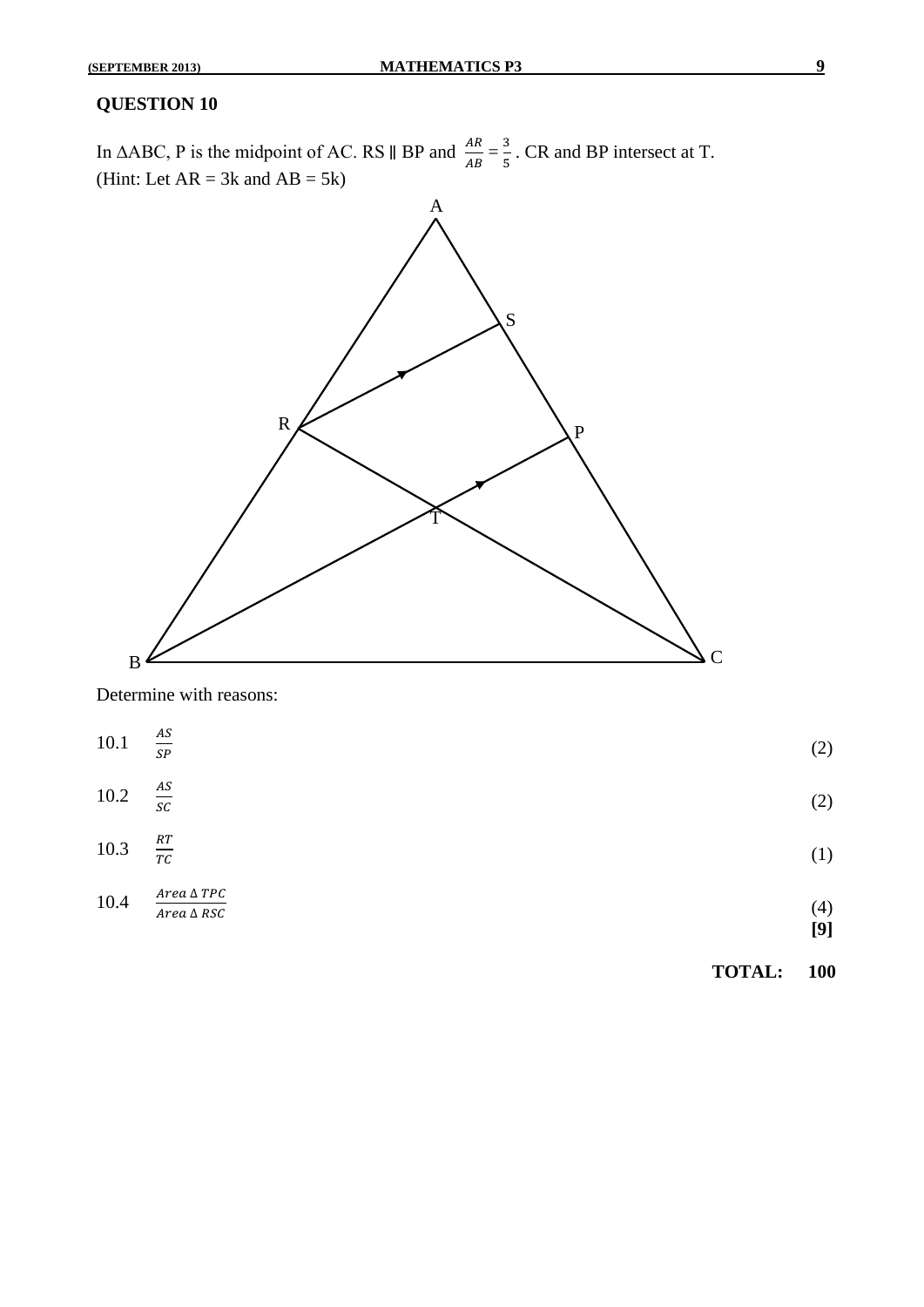### **QUESTION 10**

In ∆ABC, P is the midpoint of AC. RS  $\parallel$  BP and  $\frac{AR}{AB} = \frac{3}{5}$  $\frac{3}{5}$ . CR and BP intersect at T. (Hint: Let  $AR = 3k$  and  $AB = 5k$ )



Determine with reasons:

|          |                                            | <b>TOTAL:</b> | 100        |
|----------|--------------------------------------------|---------------|------------|
| 10.4     | $Area\,\Delta\,TPC$<br>$Area\,\Delta\,RSC$ |               | (4)<br>[9] |
| 10.3     | $\frac{RT}{TC}$                            |               | (1)        |
| $10.2\,$ | $\frac{AS}{SC}$                            |               | (2)        |
| $10.1\,$ | $\stackrel{AS}{=}$<br>$\mathit{SP}$        |               | (2)        |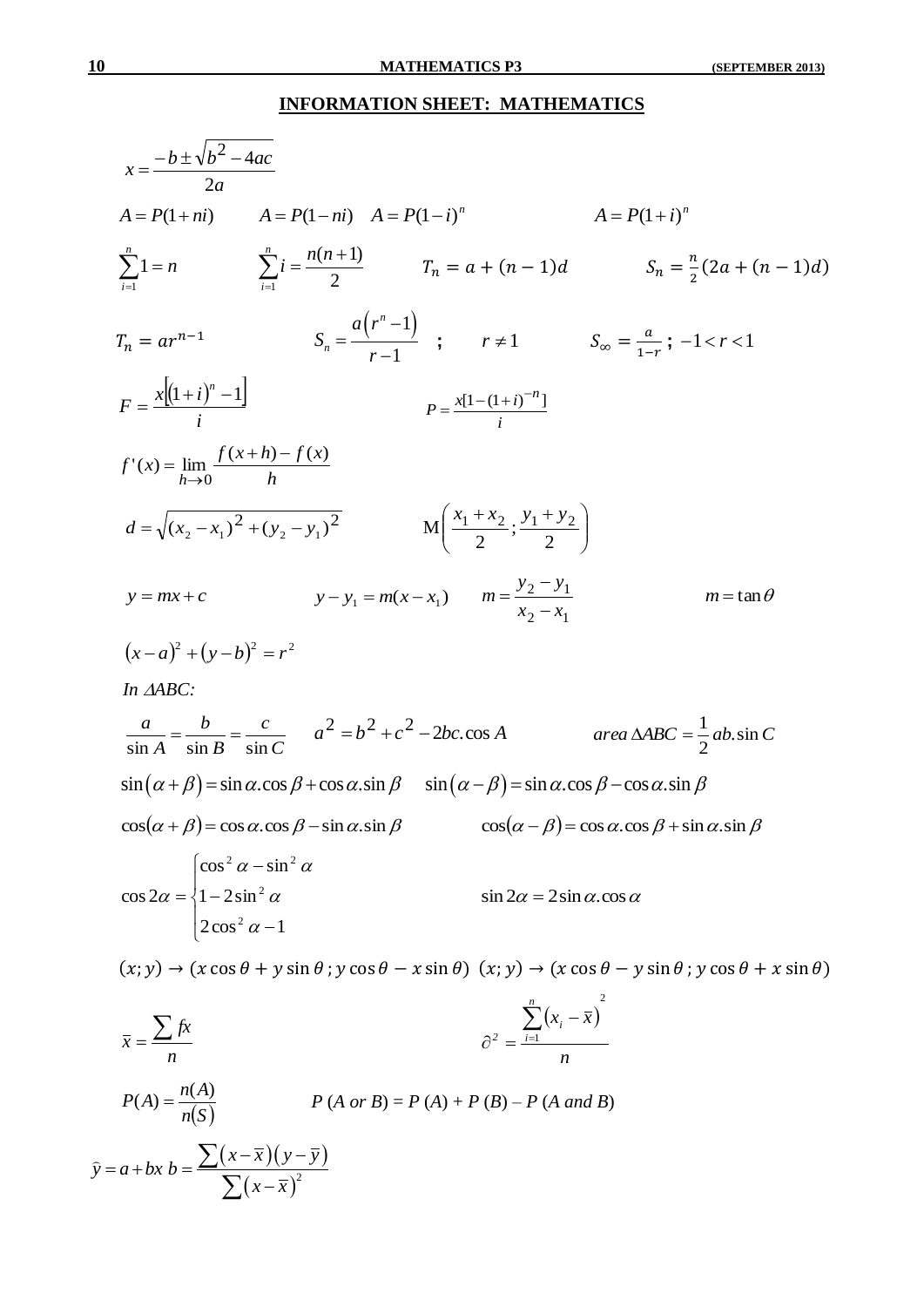$10$ 

### **INFORMATION SHEET: MATHEMATICS**

$$
x = \frac{-b \pm \sqrt{b^2 - 4ac}}{2a}
$$
  
\n $A = P(1 + ni)$   $A = P(1 - ni)$   $A = P(1 - i)^n$   $A = P(1 + i)^n$   
\n $\sum_{i=1}^{n} 1 = n$   $\sum_{i=1}^{n} i = \frac{n(n+1)}{2}$   $T_n = a + (n-1)d$   $S_n = \frac{\pi}{2}(2a + (n-1)d)$   
\n $T_n = ar^{n-1}$   $S_n = \frac{a(r^n - 1)}{r - 1}$ ;  $r \ne 1$   $S_{on} = \frac{a}{1-r}; -1 < r < 1$   
\n $F = \frac{x[(1+i)^n - 1]}{i}$   $P = \frac{x[1-(1+i)^{-n}]}{i}$   
\n $d = \sqrt{(x_2 - x_1)^2 + (y_2 - y_1)^2}$   $M(\frac{x_1 + x_2}{2}; \frac{y_1 + y_2}{2})$   
\n $y = mx + c$   $y - y_1 = m(x - x_1)$   $m = \frac{y_2 - y_1}{x_2 - x_1}$   $m = \tan \theta$   
\n $(x - a)^2 + (y - b)^2 = r^2$   
\n $10.4ABC$ :  
\n $\frac{a}{\sin A} = \frac{b}{\sin B} = \frac{c}{\sin C}$   $a^2 = b^2 + c^2 - 2bc \cos A$   $area \triangle ABC = \frac{1}{2}ab \sin C$   
\n $\sin(\alpha + \beta) = \sin \alpha \cdot \cos \beta + \cos \alpha \sin \beta$   $\sin(\alpha - \beta) = \sin \alpha \cdot \cos \beta - \cos \alpha \cdot \sin \beta$   
\n $\cos(\alpha + \beta) = \cos \alpha \cdot \cos \beta - \sin \alpha \cdot \sin \beta$   $\cos(\alpha - \beta) = \cos \alpha \cdot \cos \beta + \sin \alpha \cdot \sin \beta$   
\n $\cos 2\alpha = \begin{cases} \cos^2 \alpha - \sin^2 \alpha \\ 1 - 2\sin^2 \alpha \\ 2\cos^2 \alpha - 1 \end{cases}$   $\sin 2\alpha = 2 \sin \alpha \cdot$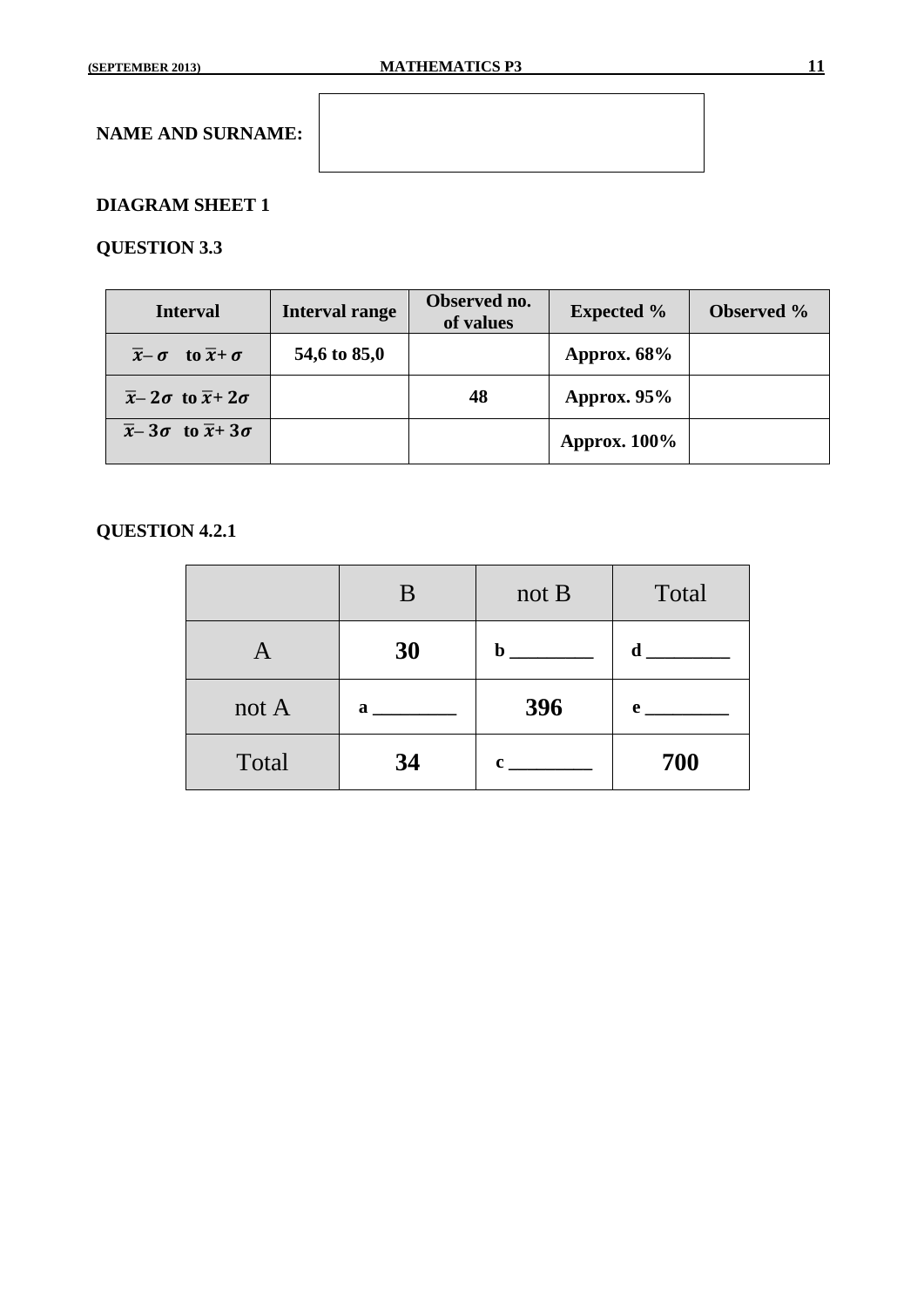### **DIAGRAM SHEET 1**

### **QUESTION 3.3**

| <b>Interval</b>                                           | <b>Interval range</b> | Observed no.<br>of values | <b>Expected %</b>   | <b>Observed</b> % |
|-----------------------------------------------------------|-----------------------|---------------------------|---------------------|-------------------|
| $\overline{x}$ - $\sigma$ to $\overline{x}$ + $\sigma$    | 54,6 to 85,0          |                           | Approx. $68\%$      |                   |
| $\overline{x}$ - 2 $\sigma$ to $\overline{x}$ +2 $\sigma$ |                       | 48                        | Approx. $95%$       |                   |
| $\overline{x}$ - 3 $\sigma$ to $\overline{x}$ +3 $\sigma$ |                       |                           | <b>Approx. 100%</b> |                   |

## **QUESTION 4.2.1**

|         | B  | not B       | Total        |
|---------|----|-------------|--------------|
| A       | 30 | $\mathbf b$ | d            |
| not $A$ | a  | 396         | $\mathbf{e}$ |
| Total   | 34 | c           | 700          |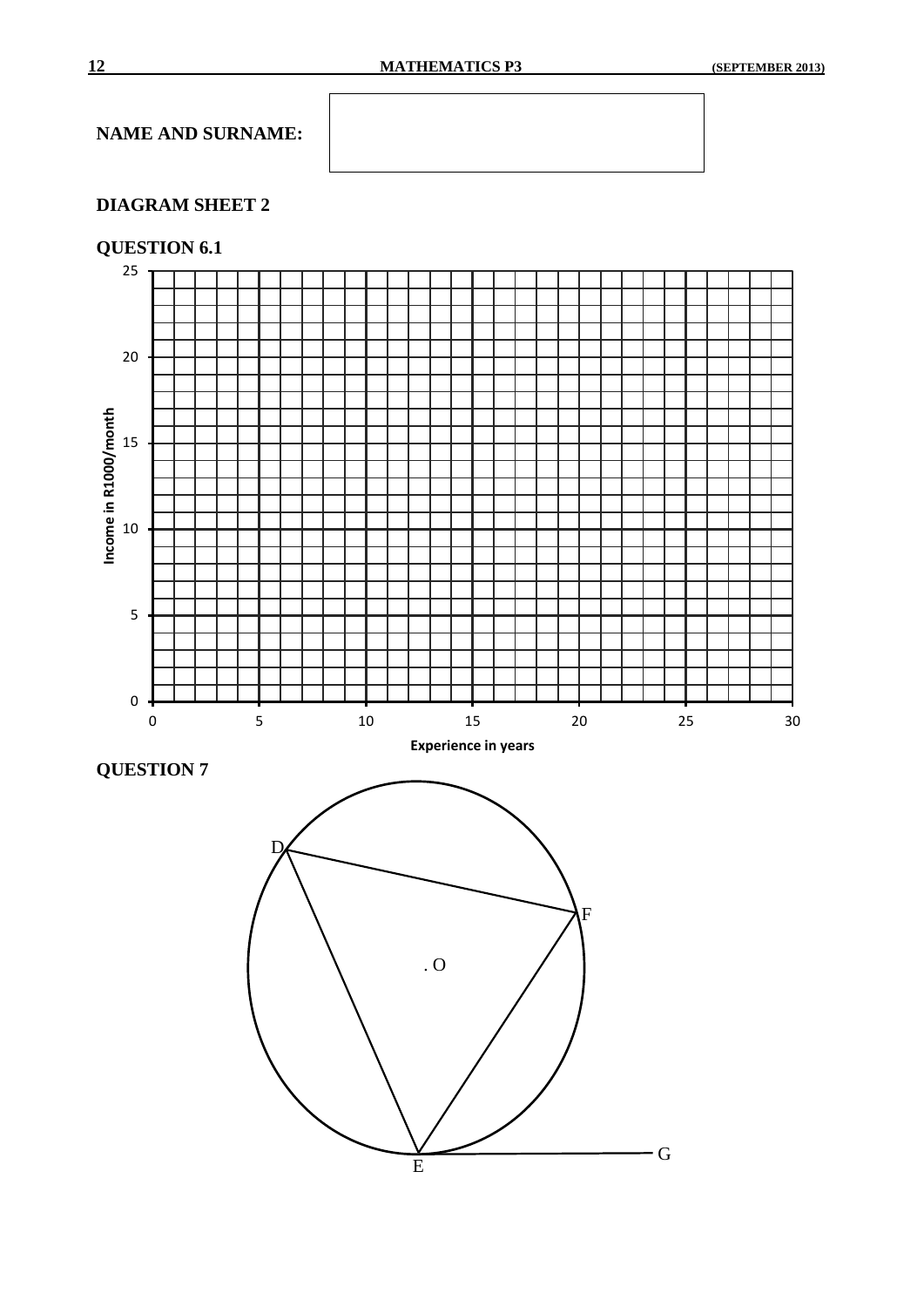### **DIAGRAM SHEET 2**

### **QUESTION 6.1**



**QUESTION 7**

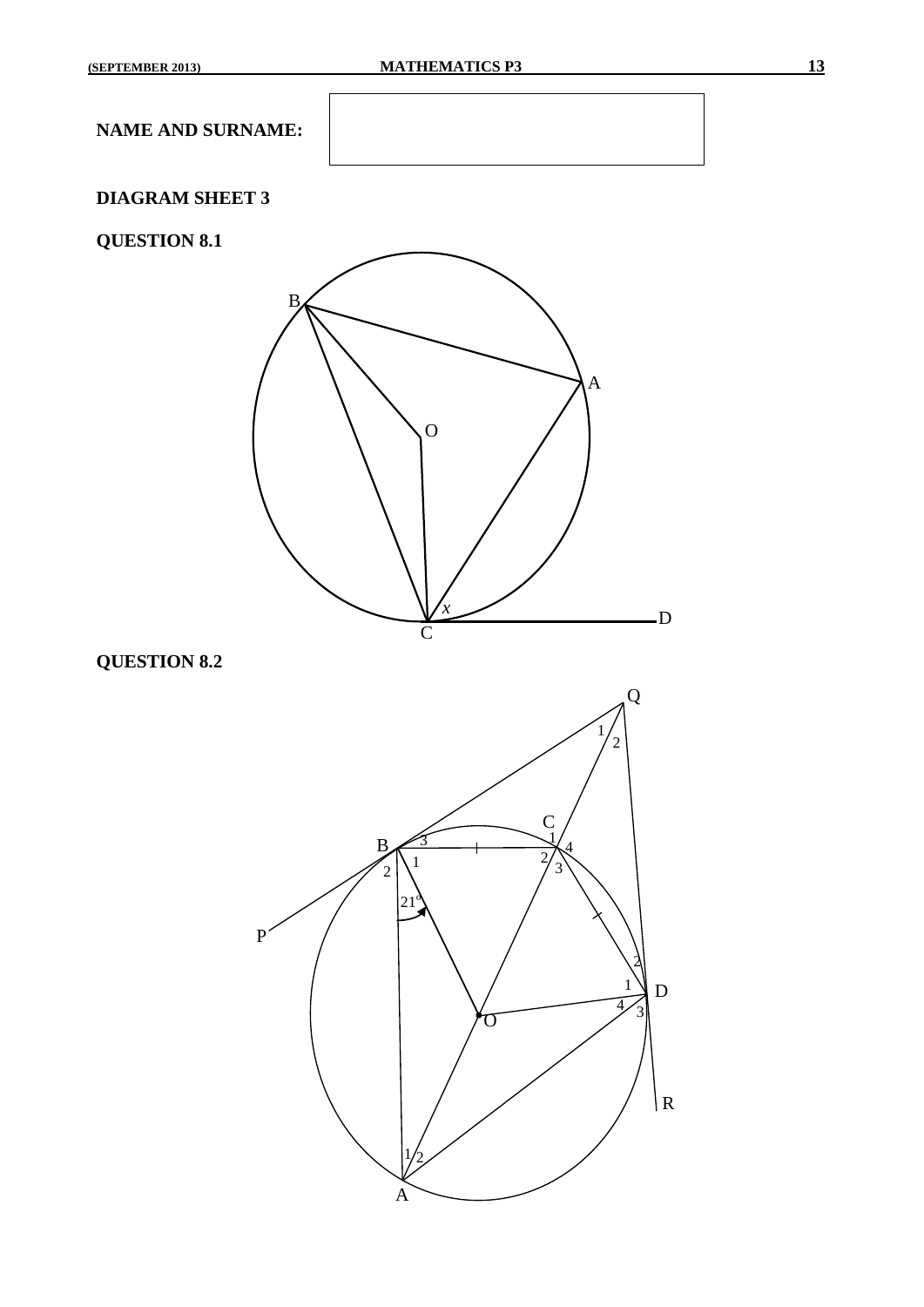### **DIAGRAM SHEET 3**

### **QUESTION 8.1**



### **QUESTION 8.2**

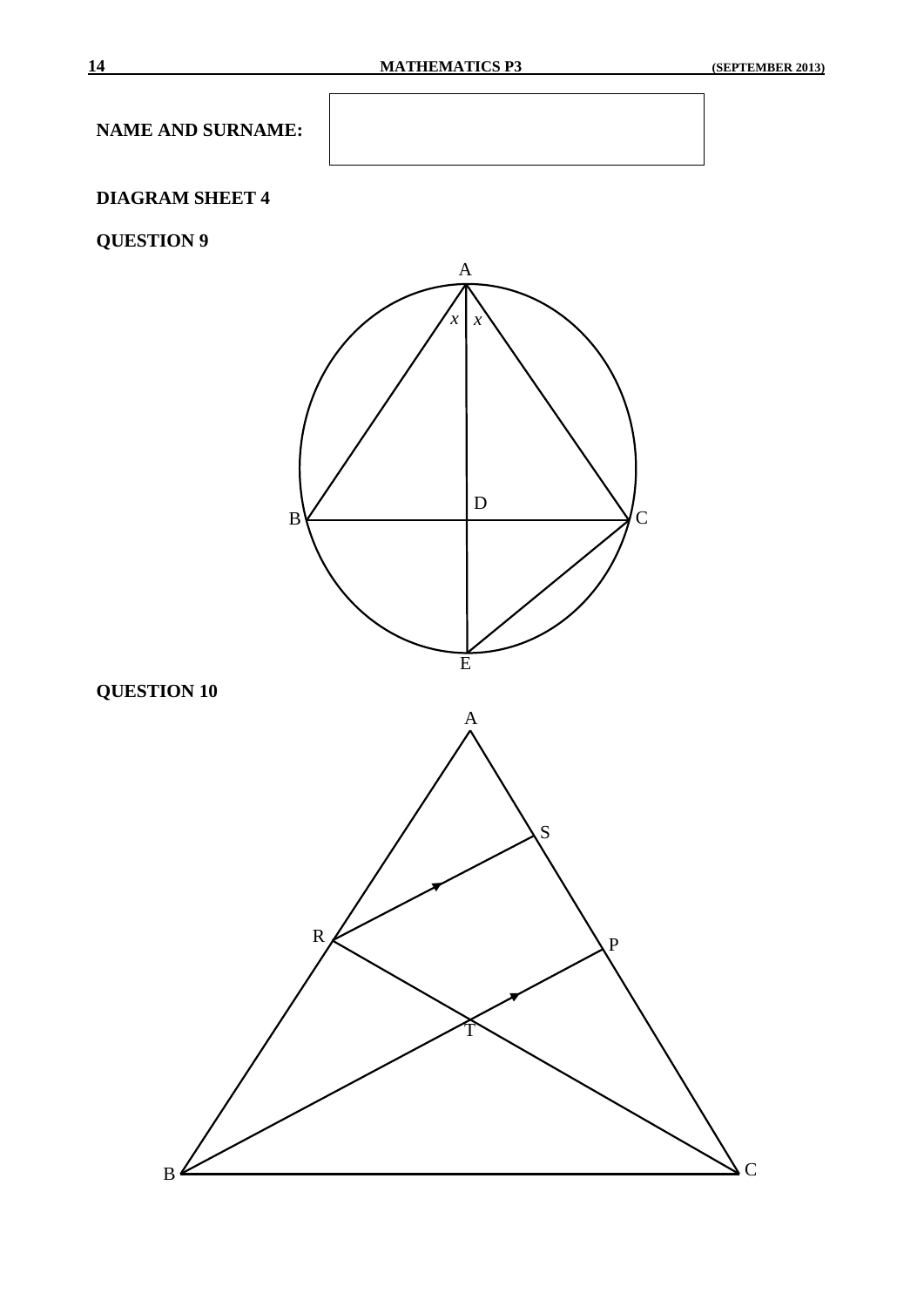### **DIAGRAM SHEET 4**

### **QUESTION 9**

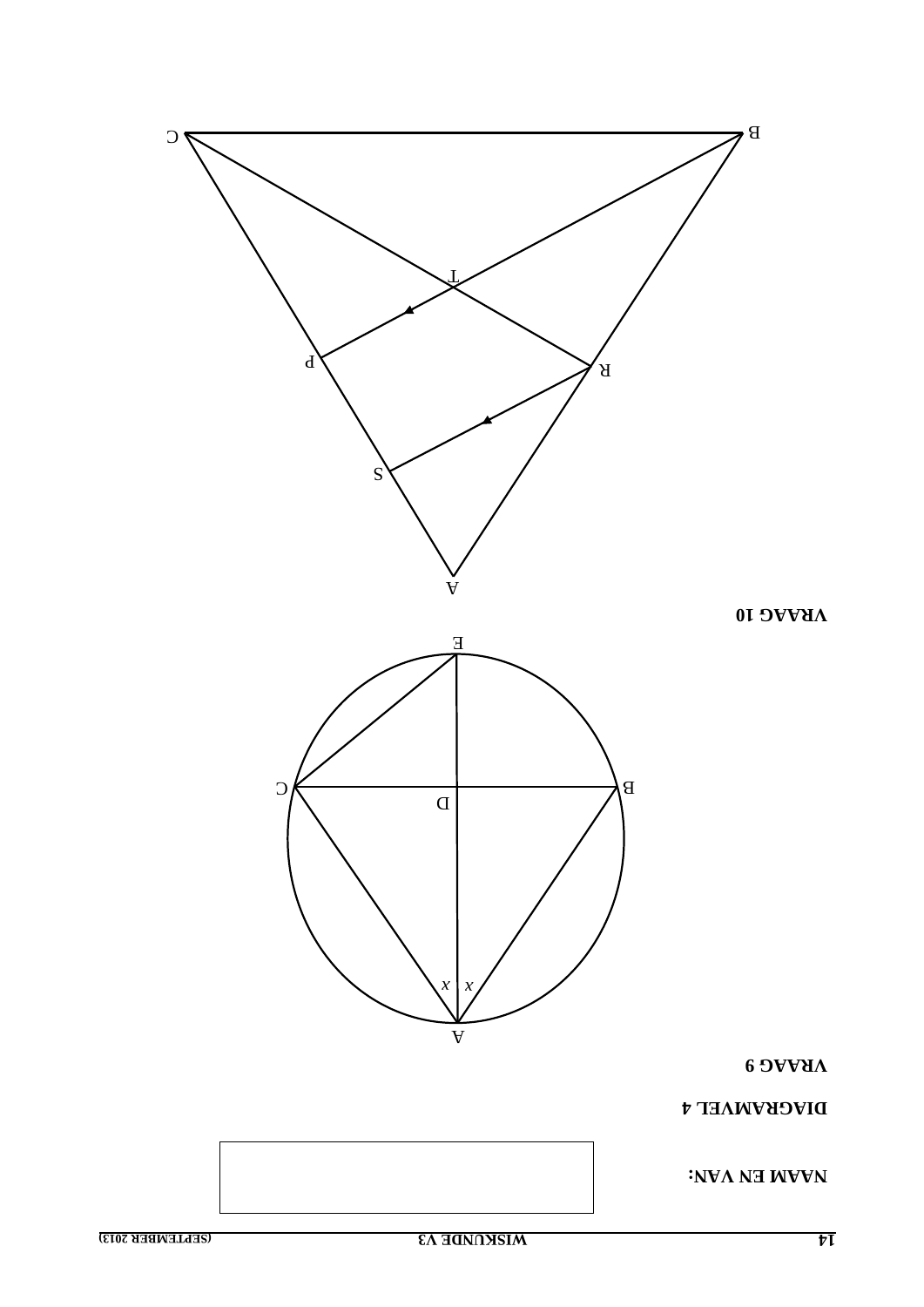

 $\overline{v}$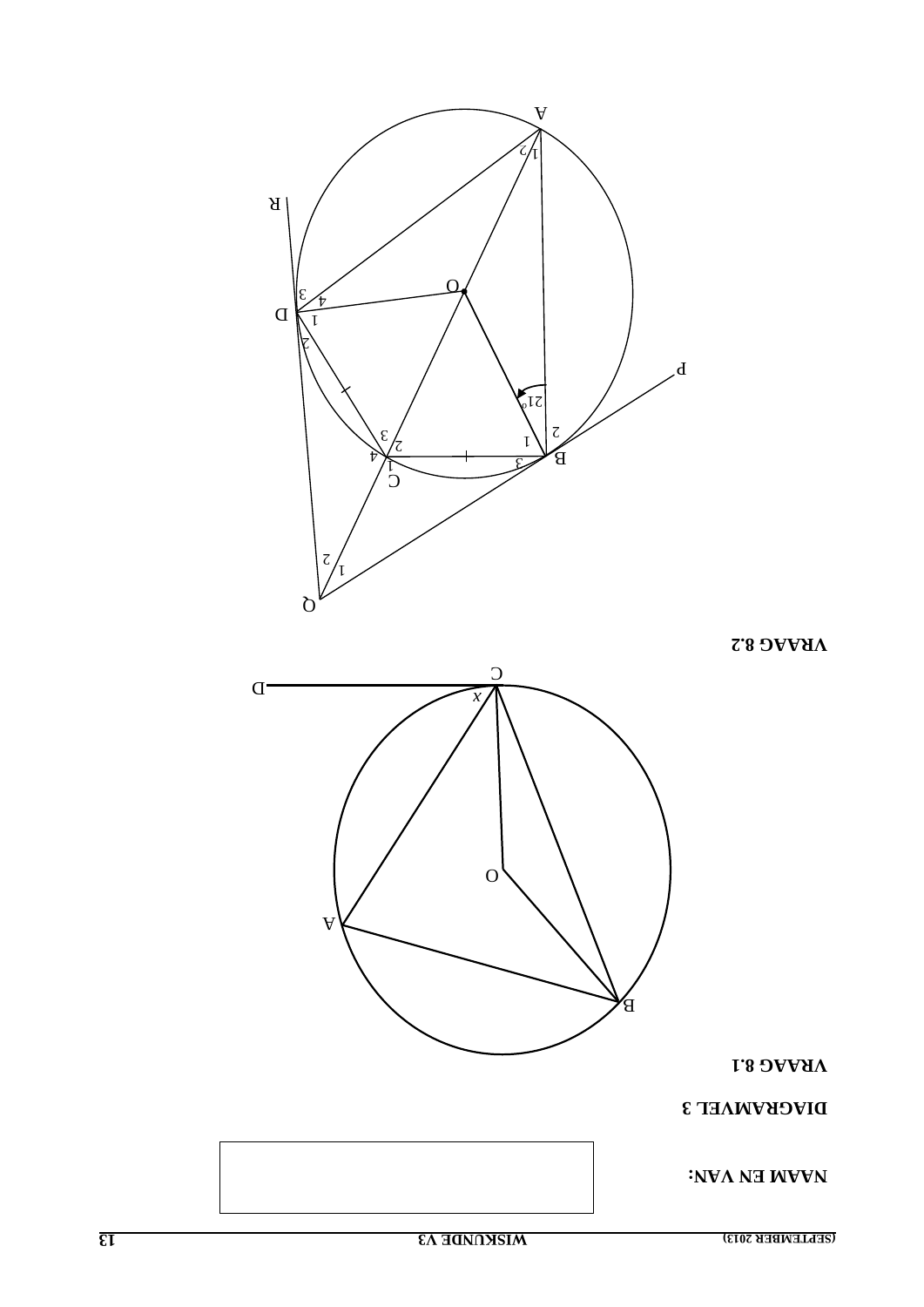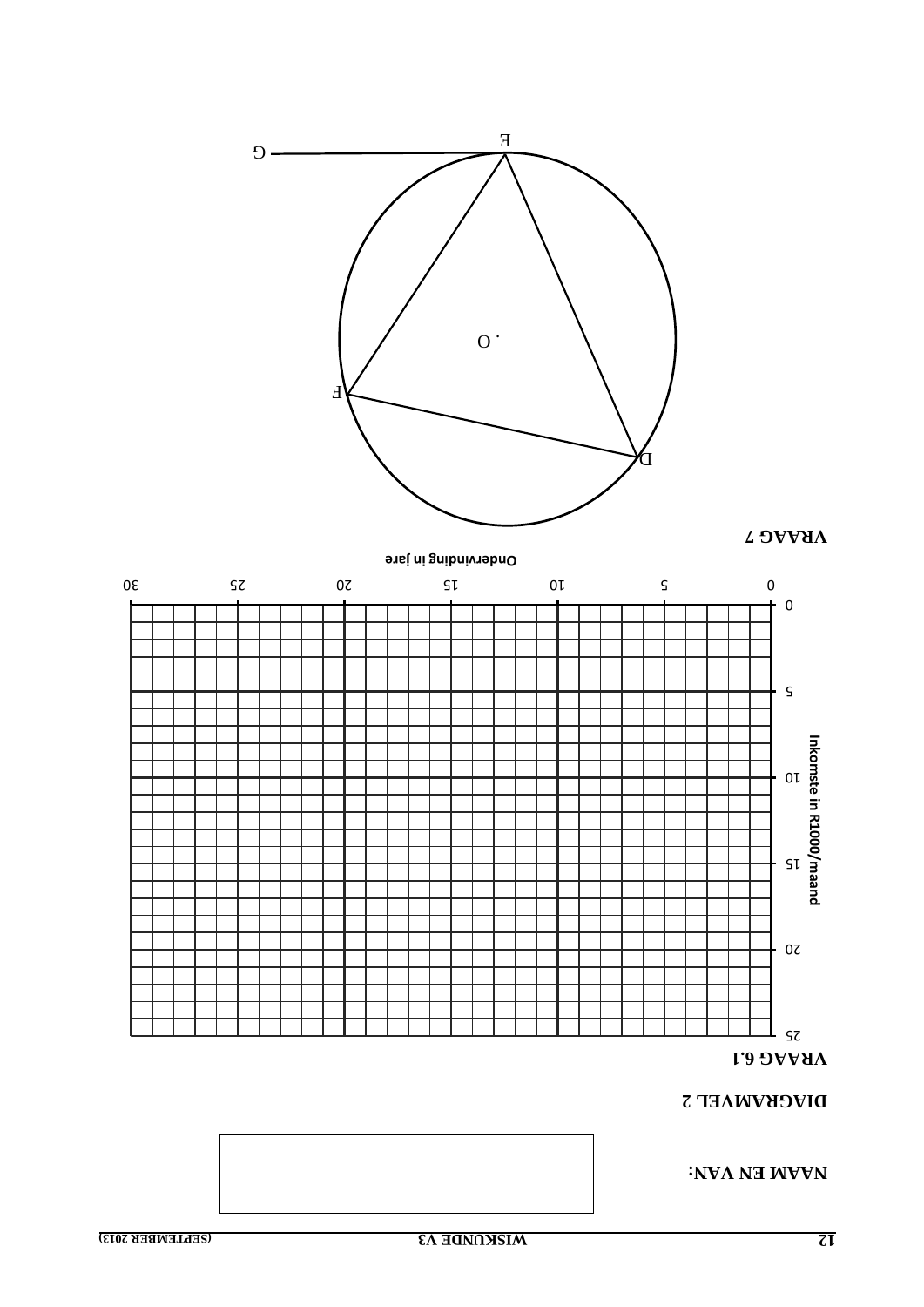

**2 DIAGRAMVEL** 

**: NAAM EN VAN**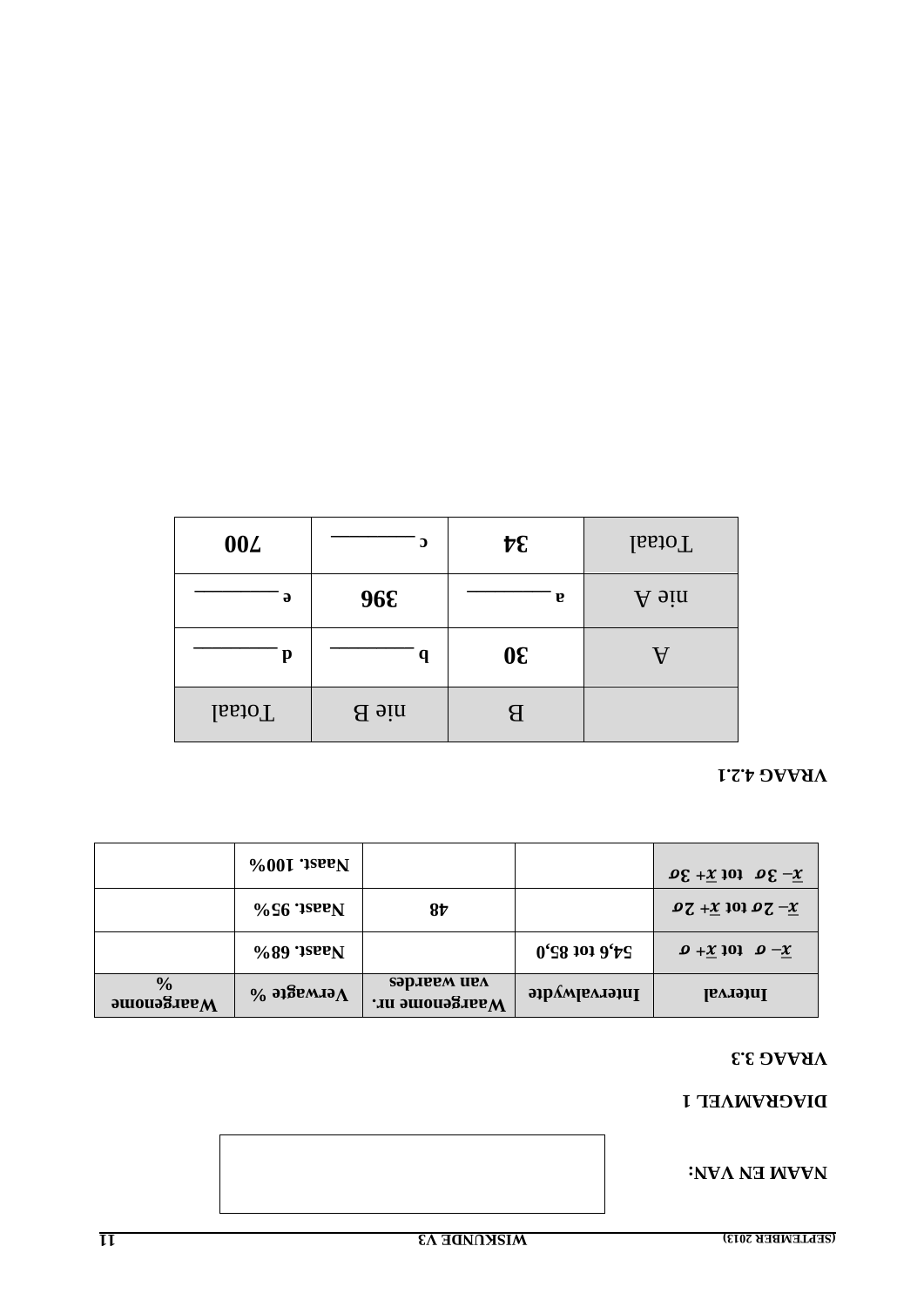#### **INAMEN EN VAN:**

### DIVCKVMAET I

#### VRAAG 3.3

|                                                                                                        | $\%00I$ ; isee N       |                               |                  | $\log + \chi$ tot $\overline{x} + 3\sigma$                                      |
|--------------------------------------------------------------------------------------------------------|------------------------|-------------------------------|------------------|---------------------------------------------------------------------------------|
|                                                                                                        | $\%$ S6 '1seeN         | 8 <sub>t</sub>                |                  | $97 + x 101 07 - x$                                                             |
|                                                                                                        | $\%89$ '1see N         |                               | $0'$ S8 101 9'tS | $\mathbf{D} + \underline{\mathbf{X}}$ 101 $\mathbf{D} - \underline{\mathbf{X}}$ |
| $\frac{0}{0}$<br>$\boldsymbol{\mathsf{a}}$ and $\boldsymbol{\mathsf{a}}$ and $\boldsymbol{\mathsf{a}}$ | $\%$ этвемлэ $\Lambda$ | зэрлеем иел<br>Waargenome nr. | Intervalwydte    | Interval                                                                        |

### VRAAG 4.2.1

| <b>004</b>    | $\mathbf \Omega$ | $\mathcal{F}$ | <b>IssioT</b> |
|---------------|------------------|---------------|---------------|
| $\partial$    | 96E              | <b>v</b>      | A sin         |
| p             | q                | $0\epsilon$   | v             |
| <b>IssioT</b> | aie B            | В             |               |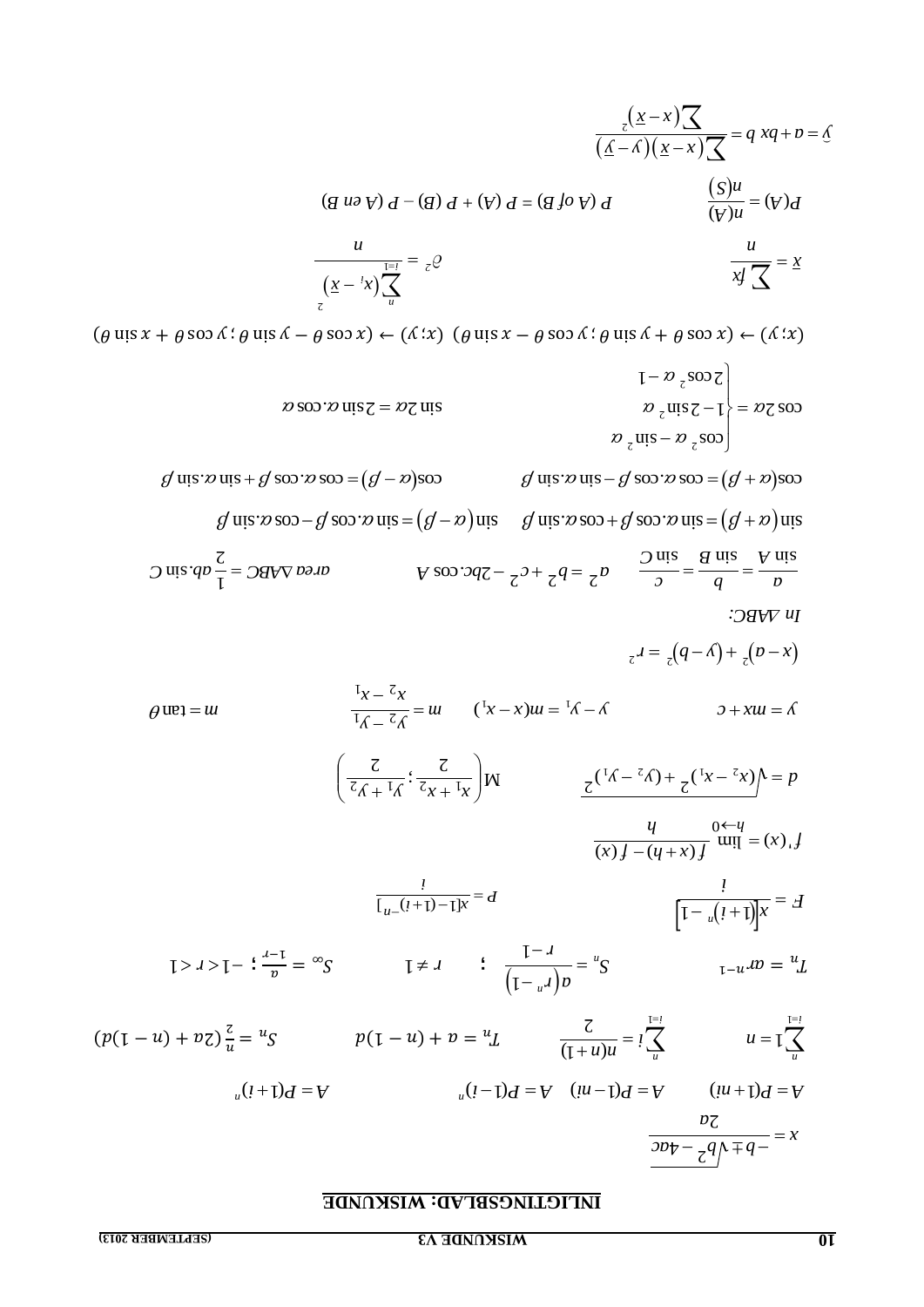### **INLIGTINGSBLAD: WISKUNDE**

|                                                                                                                                                                                                                                | $(g u \partial \gamma) d - (g) d + (\gamma) d = (g f \partial \gamma) d$                                            |                                                                           | $\frac{(S)u}{(V)u} = (V)d$                                                                                                                                                         |
|--------------------------------------------------------------------------------------------------------------------------------------------------------------------------------------------------------------------------------|---------------------------------------------------------------------------------------------------------------------|---------------------------------------------------------------------------|------------------------------------------------------------------------------------------------------------------------------------------------------------------------------------|
|                                                                                                                                                                                                                                |                                                                                                                     |                                                                           |                                                                                                                                                                                    |
|                                                                                                                                                                                                                                | $\frac{1}{\left(\underline{x} - \frac{1}{x}\right)} \sum_{u=1}^{\frac{1}{2}} = z \mathcal{Q}$                       |                                                                           | $\frac{u}{x} = \frac{x}{x}$                                                                                                                                                        |
| $(\theta$ uis $x + \theta$ soo $\Lambda$ : $\theta$ uis $\Lambda - \theta$ soo $x$ ) $\leftarrow (\Lambda : x)$ ( $\theta$ uis $x - \theta$ soo $\Lambda : \theta$ uis $\Lambda + \theta$ soo $x$ ) $\leftarrow (\Lambda : x)$ |                                                                                                                     |                                                                           |                                                                                                                                                                                    |
|                                                                                                                                                                                                                                |                                                                                                                     |                                                                           | $\left[-\frac{\nu}{c}\right]$ soo $\left[\frac{\nu}{c}\right]$                                                                                                                     |
|                                                                                                                                                                                                                                | $\omega$ soo $\omega$ uis $z = \omega z$ uis                                                                        |                                                                           | $\int \frac{\partial z}{\partial x}$ $\cos z - 1$ = $\int \frac{\partial z}{\partial x}$ soo                                                                                       |
|                                                                                                                                                                                                                                |                                                                                                                     |                                                                           | $\int \frac{\partial}{\partial z} \cos \left( \frac{\partial}{\partial z} \right) \cos \left( \frac{\partial}{\partial z} \right)$                                                 |
| $g$ uis $x$ uis + $g$ soo $x$ soo = $(g - x)$ soo                                                                                                                                                                              |                                                                                                                     |                                                                           | $g$ uis $x$ uis $-g$ soo $x$ soo $=(g + x)$ soo                                                                                                                                    |
|                                                                                                                                                                                                                                | $g$ uis $\infty$ soo – $g$ soo $\infty$ uis = $(g - \infty)$ uis                                                    |                                                                           | g uis $x \cos \theta + \cos \theta \cos \theta = (g + x)$ uis                                                                                                                      |
| $\int$ uis $qp -$ = $\int$ $qdy$ pain                                                                                                                                                                                          |                                                                                                                     |                                                                           | A 800.3d $\zeta - \frac{c}{2}$ + $\zeta$ d = $\frac{c}{\zeta}$ b $\frac{\zeta - \zeta}{\zeta}$ = $\frac{\zeta - \zeta}{\zeta}$ d = $\frac{\zeta}{\zeta}$ d = $\frac{\zeta}{\zeta}$ |
|                                                                                                                                                                                                                                |                                                                                                                     |                                                                           | $\cdot$ <i>OHVV <math>U_1</math></i>                                                                                                                                               |
|                                                                                                                                                                                                                                |                                                                                                                     |                                                                           | $_{z}d = (q - \Lambda) + (p - x)$                                                                                                                                                  |
| $\theta$ ue <sub>1</sub> = $u$                                                                                                                                                                                                 | $\frac{\mathrm{I}_x - \mathrm{I}_x}{\mathrm{I}_x - \mathrm{I}_x} = u \qquad (\mathrm{I}_x - x)u = \mathrm{I}_x - x$ |                                                                           | $\partial + xu = \delta$                                                                                                                                                           |
|                                                                                                                                                                                                                                | $\left(\frac{z}{z_{\hat{\Lambda} + ^{\mathrm{I}}\hat{\Lambda}}} : \frac{z}{z_{x + ^{\mathrm{I}}x}}\right)$ W        |                                                                           | $\frac{z^{(\frac{1}{\Delta} - \frac{z}{\Delta}) + z^{(\frac{1}{x} - \frac{z}{\Delta})}}}{z^{(\frac{1}{x} - \frac{z}{\Delta})}} = p$                                                |
|                                                                                                                                                                                                                                |                                                                                                                     |                                                                           | $\frac{q}{(x) f - (y + x) f}$ will $= (x) f$                                                                                                                                       |
|                                                                                                                                                                                                                                | $\frac{1}{\sqrt{1+(1-1)x}} = d$                                                                                     |                                                                           | $\frac{1}{[1-u(1+1)]x} = A$                                                                                                                                                        |
| $1 > J > I -$ : $\frac{J-1}{n} = \infty S$                                                                                                                                                                                     |                                                                                                                     | $I \neq 1$ : $\frac{1 - 1}{\left(1 - \frac{1}{n}\right)p} = \frac{1}{n}S$ | $u_{\text{L}-u}$ <i>l</i> $v = {}^{u}L$                                                                                                                                            |
| $(p(1-u) + vz)^{\frac{c}{u}} = {u_S}$                                                                                                                                                                                          |                                                                                                                     |                                                                           | $p(1-u) + v = u$<br>$\frac{z}{(1+u)u} = i \sum_{i=1}^{n} u = i \sum_{i=1}^{n}$                                                                                                     |
| $_{u}(i+1)$ d = V                                                                                                                                                                                                              |                                                                                                                     |                                                                           | $u(l-1)d = V$ $(lu-1)d = V$ $(u+1)d = V$                                                                                                                                           |
|                                                                                                                                                                                                                                |                                                                                                                     |                                                                           |                                                                                                                                                                                    |
|                                                                                                                                                                                                                                |                                                                                                                     |                                                                           | $\frac{b}{\partial p_{\overline{v}} - \frac{q}{\zeta} q + q} = x$                                                                                                                  |

 $\frac{1}{(\underline{x}-x)\underline{X}} = q xq + p = \underline{0}$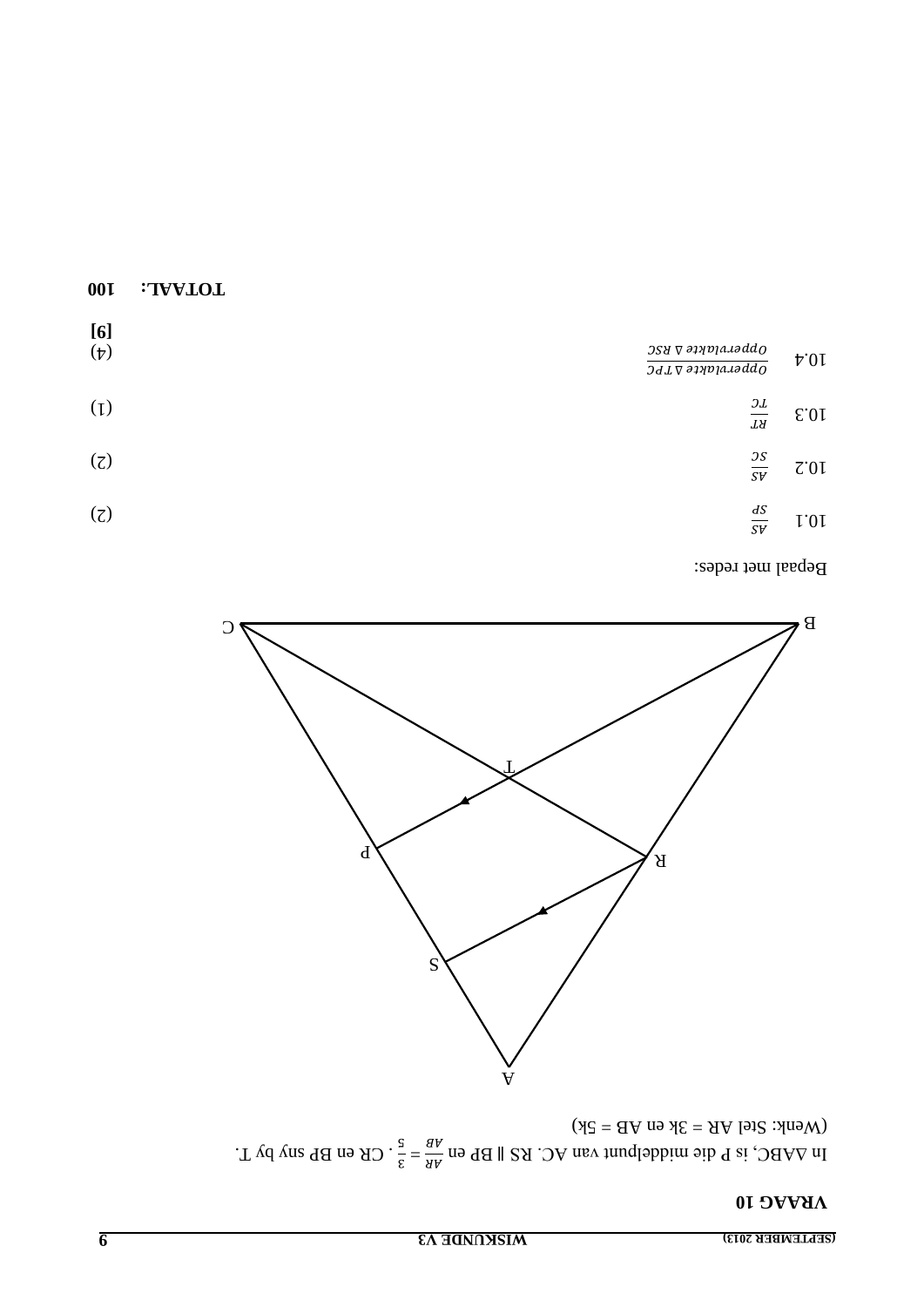### **OI SVVHA**

 $(Wenk: Stel AR = 3k en AR = 5k)$ In  $\triangle ABAC$ , is P die middelpunt van AC. RS || BP en  $\frac{AB}{AB} = \frac{s}{3}$ . CR en BP sny by T.



Bepaal met redes:

| [6]<br>$(\dagger)$ | $\frac{388~\nabla~{\it{a}}\nu}{345~\nabla~{\it{a}}\nu}$ | $\upmu.01$ |
|--------------------|---------------------------------------------------------|------------|
| (1)                | $\frac{\partial L}{\partial X}$                         | E.01       |
| (7)                | $\frac{\mathcal{S}\mathcal{S}}{\mathcal{S}\mathcal{V}}$ | 7.01       |
| (7)                | $\frac{dS}{S V}$                                        | 1.01       |

 $00I$ 

:TVVLOL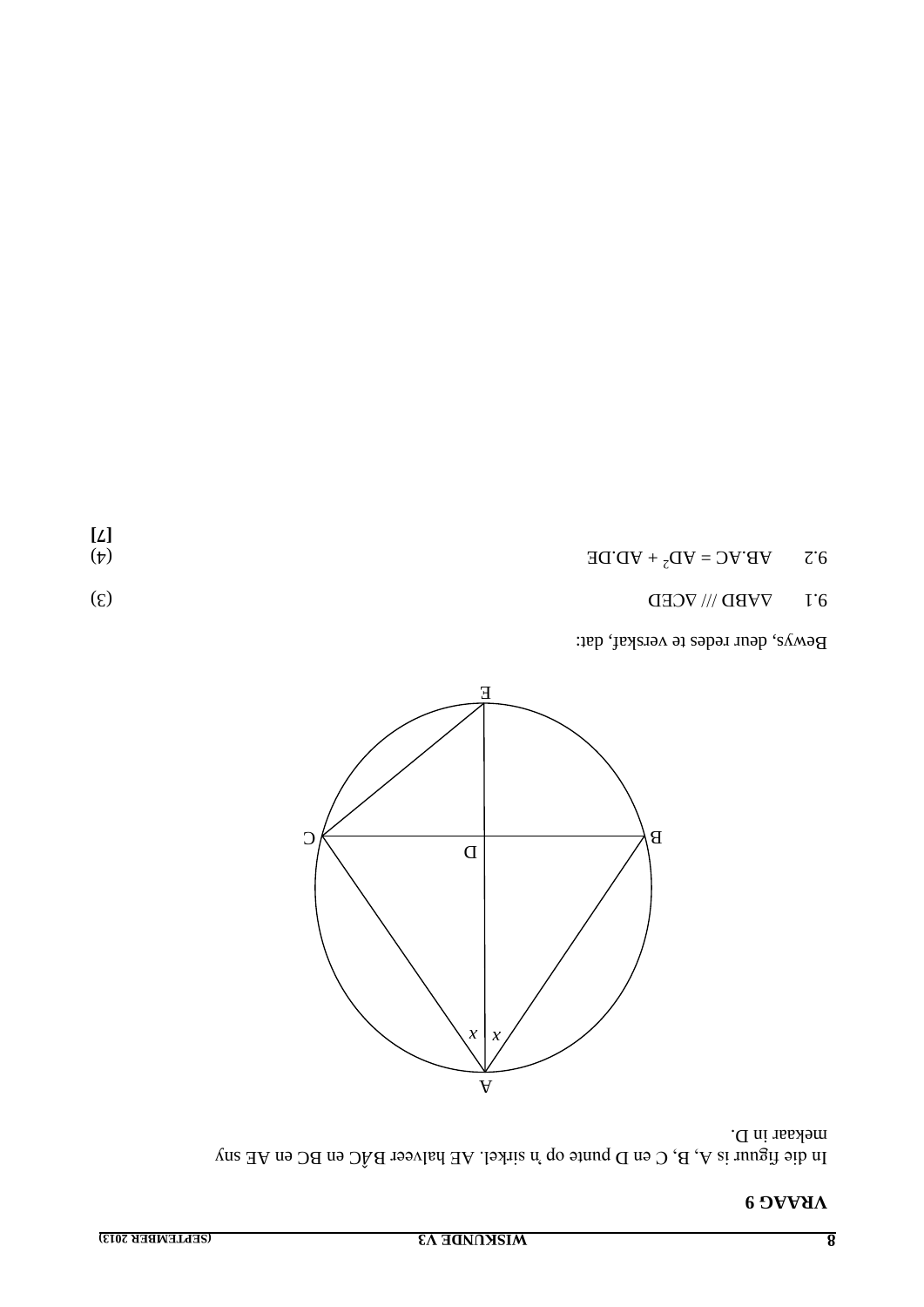$\begin{array}{c} [\underline{\mathit{L}}] \\ (\underline{\mathit{L}}) \end{array}$ 

### **VRAAG9**

mekaar in D. In die figuur is A, B, C en D punte op 'n sirkel. AE halveer BÅC en BC en AE sny



Bewys, deur redes te verskaf, dat:

| $(\xi)$ | $6'1$ VVBD $\left\langle \right\rangle \left\langle \right\rangle$ VCED |  |
|---------|-------------------------------------------------------------------------|--|

 $\mathbf{V} \mathbf{B}^{\prime} \mathbf{V} \mathbf{C} = \mathbf{V} \mathbf{D}_5 + \mathbf{V} \mathbf{D}^{\prime} \mathbf{D} \mathbf{E}$  $\mathcal{C}6$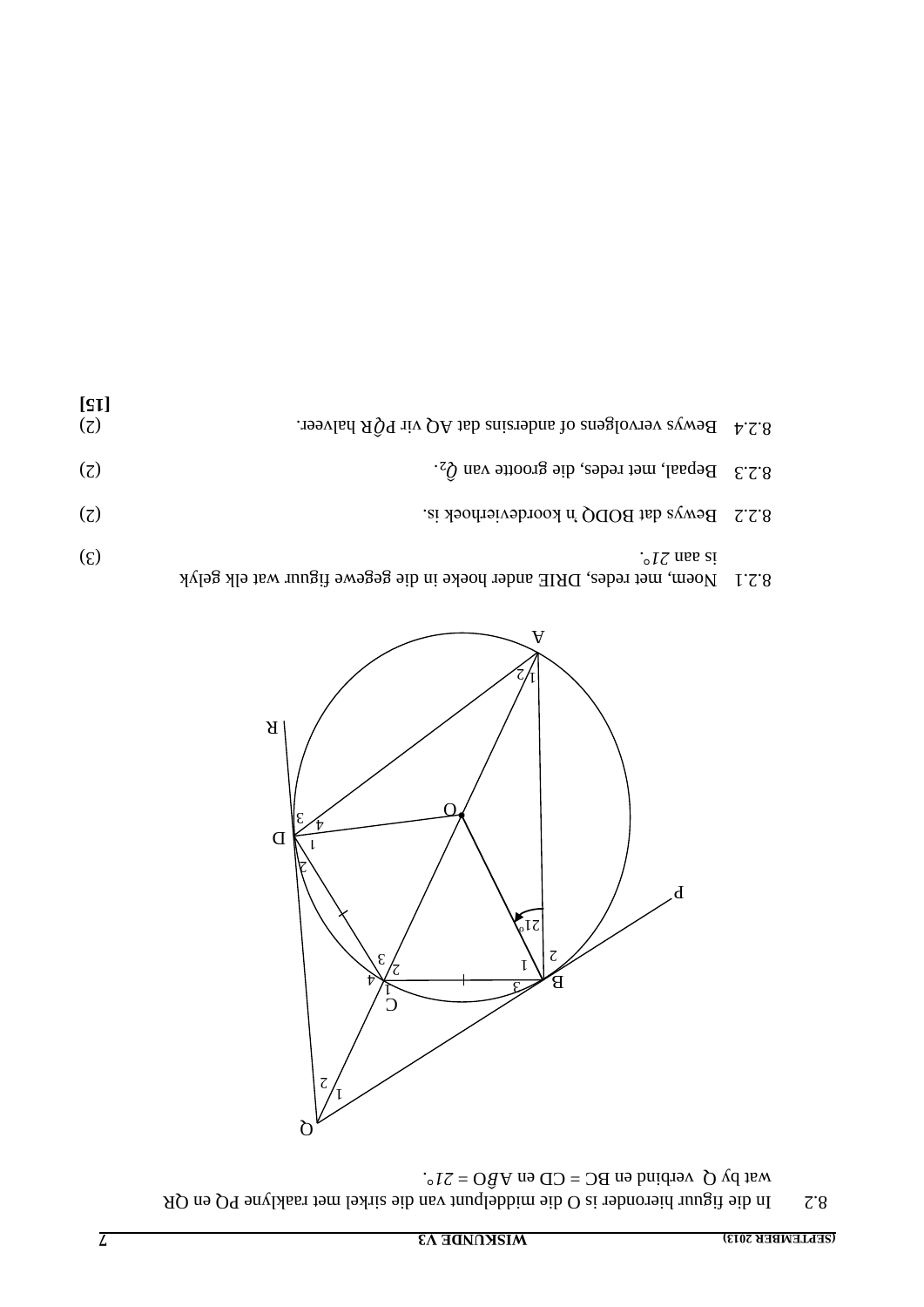In die figuur hieronder is O die middelpunt van die sirkel met raaklyne PQ en QR 8.2 wat by Q verbind en BC = CD en A $\hat{B}$ O = 21°.



| $(\xi)$ | $\cdot$ $\frac{1}{2}$ and si                                                 |  |
|---------|------------------------------------------------------------------------------|--|
|         |                                                                              |  |
|         | $8.2.1$ Noem, met redes, DRIE ander hoeke in die gegewe figuur wat elk gelyk |  |

| [s]<br>$\left( 7\right)$ | 3.2.4 Bewys vervolgens of andersins dat AQ vir P $\tilde{Q}R$ halveer. |  |
|--------------------------|------------------------------------------------------------------------|--|
| (7)                      | 8.2.3 Bepaal, met redes, die grootte van $Q_2$ .                       |  |
| (7)                      | 8.2.2 Bewys dat BODQ 'n koordevierhoek is.                             |  |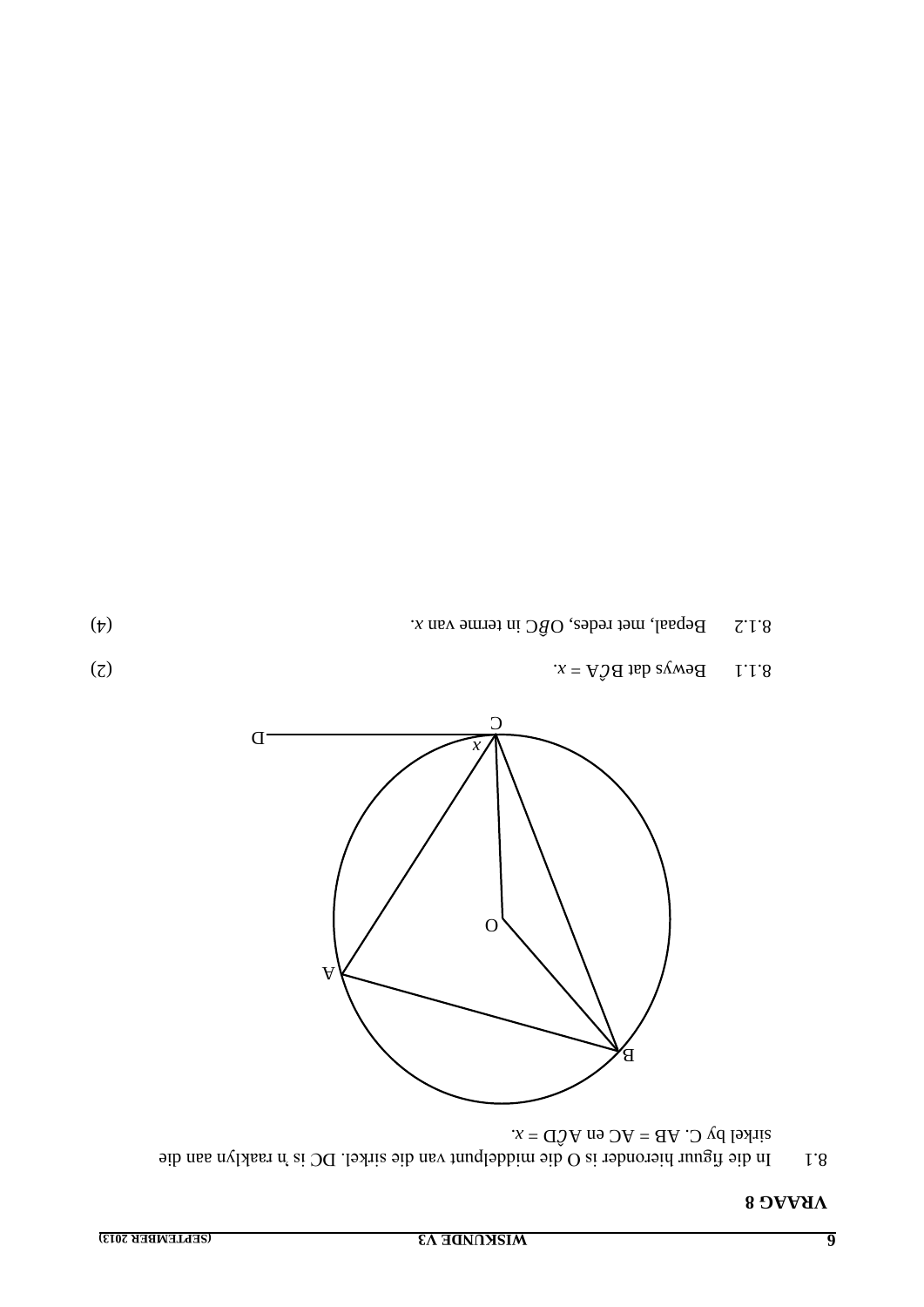### **VRAAG8**

sitkel by C. AB = AC en AÔD = x.<br>  $x = d\hat{O}A$  no  $OA = d\hat{O}$  and  $d\hat{O}$  is the middelpunt van die shitel. DC is in raaklyn aan die I.8



 $(7)$ Bewys dat BĈA =  $x$ . I.1.8

 $(\dagger)$ 

Bepaal, met redes, O $\widehat{B}$ C in terme van  $x$ .  $7.1.8$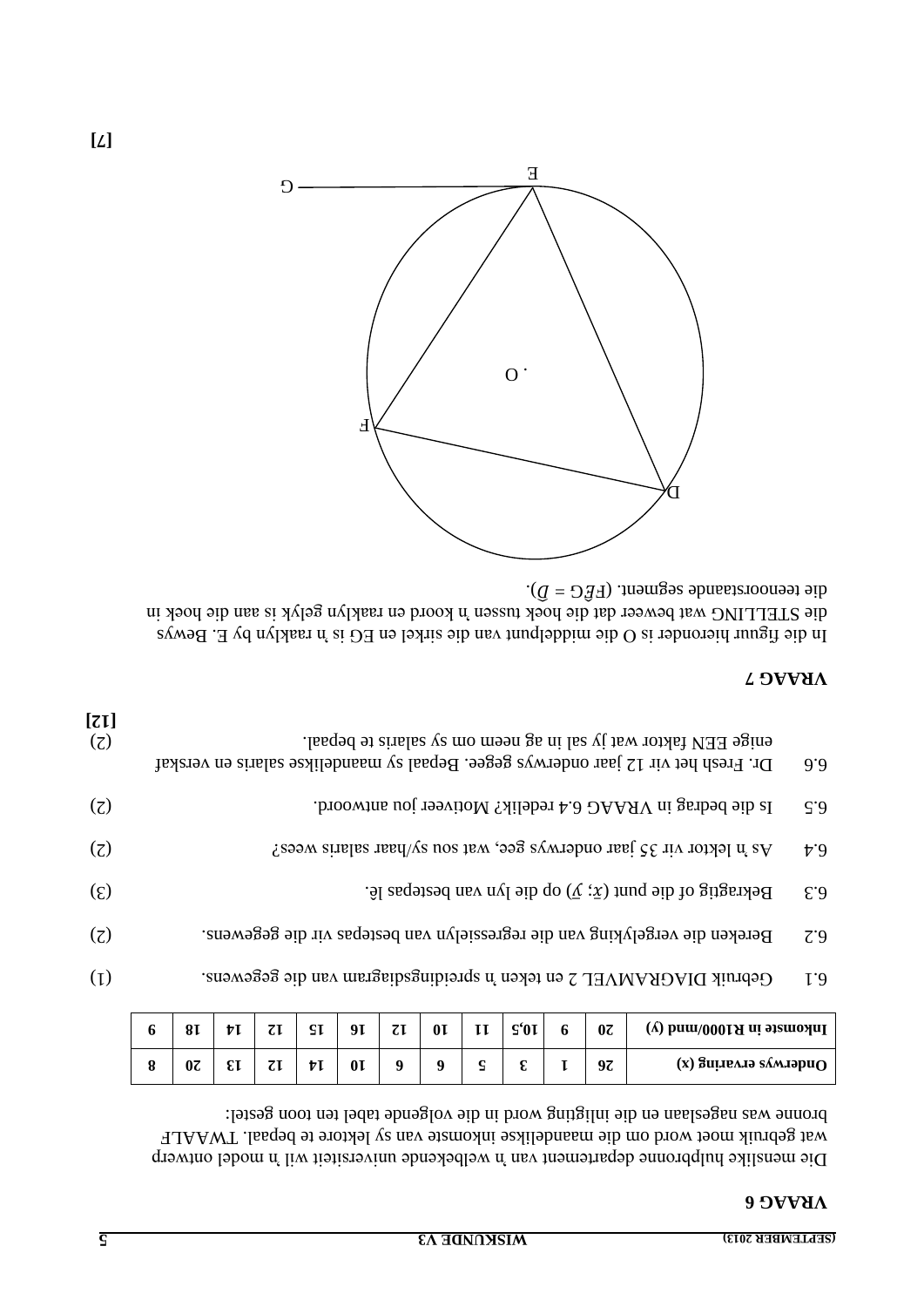### **6 VRAAG**

Die menslike hulpbronne departement van 'n welbekende wirmersiteit wil in model ontwerp wat gebruik moet word om die maandelikse inkomste van sy lektore te bepaal. TWAALF : bronne was nageslaan en die inligting word in die volgende tabel ten toon gestel

| Inkomste in R1000/mm (y)      | $0\overline{c}$ | o | $\mathsf{S}'0\mathsf{I}$ | TT | 0 <sup>T</sup> | $\tau$ | 91             | SI | τī |    | 81 |   |  |
|-------------------------------|-----------------|---|--------------------------|----|----------------|--------|----------------|----|----|----|----|---|--|
| $\alpha$ а билеллэ клянда (х) | 97              |   |                          |    |                |        | 0 <sub>I</sub> | ŧι |    | £τ | 0Ζ | o |  |

- (1) . Gebruik DIAGRAMVEL 2 en teken 'n spreidingsdiagram van die gegewens 6.1
- (2) . Bereken die vergelyking van die regressielyn van bestepas vir die gegewens 6.2
- 6.3 . Dekragtig of die lyn van bestepas lê  $\hat{S}$  is  $\hat{S}$  is  $\hat{S}$  is  $\hat{S}$  is  $\hat{S}$  is  $\hat{S}$  is  $\hat{S}$  is  $\hat{S}$  is  $\hat{S}$  is  $\hat{S}$  is  $\hat{S}$  is  $\hat{S}$  is  $\hat{S}$  is  $\hat{S}$  is  $\hat{S}$  is  $\hat{S}$  is  $\$
- 6.4  $\qquad$  As  $\qquad$  hektor vir 35 jaar onderwys gee, wat sou sy/haar salaris wees?
- (2) . Is die bedrag in VRAAG 6.4 redelik? Motiveer jou antwoord.
- $6.6$  On. Fresh het vir 12 jaar onderwys gegee. Bepaal sy maandelikse salaris en verskaf  $12$ enige EEN faktor wat jy sal in ag neem om sy salaris te bepaal. (2) **[12]**

### **7 VRAAG**

In die figuur hieronder is O die middelpunt van die sirkel en EG is in raaklyn by E. Bewys die STELLING wat beweer dat die hoek tussen 'n koord en raaklyn gelyk is aan die hoek in  $\cdot$  ( $\overline{G} = \overline{D} \overline{3}$ ). *neements about die segment* ( $\overline{F} \overline{G} = \overline{D}$ ).

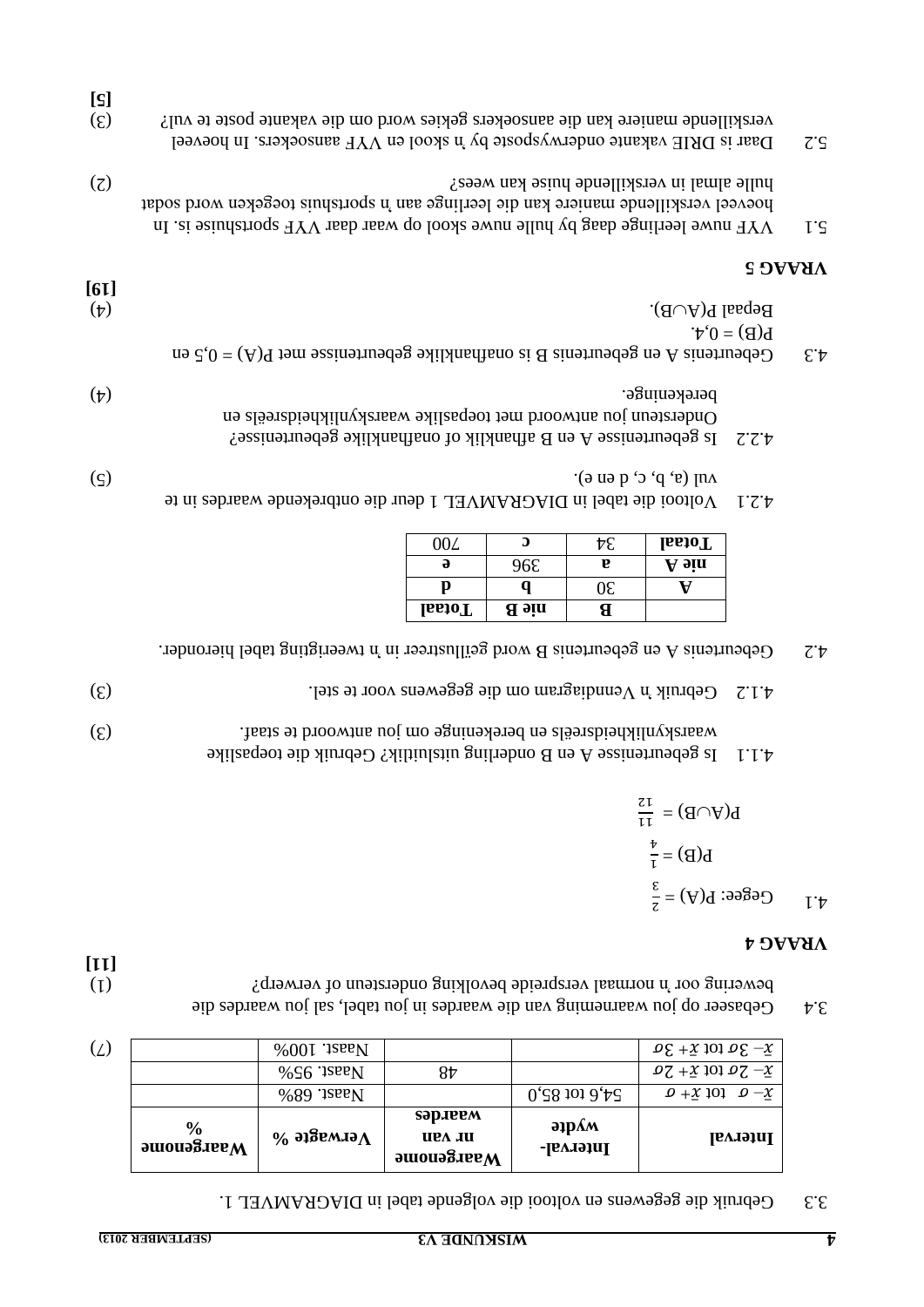| 3.3 Cebruik die gegewens en voltooi die volgende tabel in DIAGRAMVEL 1. |  |
|-------------------------------------------------------------------------|--|
|-------------------------------------------------------------------------|--|

|     | $\frac{6}{9}$<br>$M$ aargenome | $\%$ этвемлэ $\Lambda$ | səp.ieem<br>UEA JU | $\partial \mathbf{p}$ | <b>Interval</b>                              |
|-----|--------------------------------|------------------------|--------------------|-----------------------|----------------------------------------------|
|     |                                | $%89$ : $1$ see N      |                    | $0.58$ tot $0.58$     | $\varrho$ + $\chi$ 101 $\varrho$ - $\chi$    |
|     |                                | $%$ 56 '1see N         | 87                 |                       | $07 + x$ tot $07 - x$                        |
| (L) |                                | $%001$ .jsas $N$       |                    |                       | $\Omega \Sigma - 30$ tot $\overline{x}$ + 30 |

**[11]**

 $3.4 -$ Gebaseer op jou waarneming van die waardes die Gebel, sal jou waardes die bewering oor 'n normaal verspreide bevolking ondersteun of verwerp?

#### **4 VRAAG**

$$
L(A \cap B) = \frac{15}{4}
$$
  
\n
$$
L(B) = \frac{15}{4}
$$
  
\n
$$
L(B) = \frac{15}{4}
$$

#### onderling uitsluitlik? Gebruik die toepaslike Is gebeurtenisse A en B 4.1.1 waarskynlikheidsreëls en berekeninge om jou antwoord te staaf.

- 4.1.2 . Gebruik in Venndiagram om die gegewens voor te stel.
- 4.2  $\Delta$  Cebeurtenis A en gebeurtenis B word geïllustrer in 'n eerstreer geïllustreer.

|               | ื่อ          |    | <b>IssioT</b> |
|---------------|--------------|----|---------------|
| ə             | 96٤          | F. | A bin         |
|               |              |    |               |
| <b>IssioT</b> | <b>a</b> sin |    |               |

- Voltooi die tabel in DIAGRAMVEL 1 deur die ontbrekende waardes in te 4.2.1  $\text{(a, b, c, d, e)}$ . (5)
- $\frac{1}{2}$ . Is gebeurtenisse A en B afhanklik of onafhanklike gebeurtenisse? Ondersteun jou antwoord met toepaslike waarskynlikheidsreëls en (4) . berekeninge
- $e_i$   $\mathcal{E} = \mathcal{E}$  and  $\mathcal{E} = \mathcal{E}$  is onathangle gebeurtenisse met  $P(A) = 0.5$  and  $P(B) = 0.5$  and  $P(B) = 0.3$  $P(B) = 0, 4.$ Bepaal  $P(A \cup B)$ . [6**I**]

### **5 VRAAG**

- 5.1 Sume gaage daag by hulle nuwe skool op waar daar  $YYF$  sportshuise is. In hoeveel verskillende maniere kan die leerlinge aan 'n sportshuis toegeken word sodat  $(2)$   $\sum_{i=1}^{\infty}$  hulle almal in verskillende huise kan wees  $\sum_{i=1}^{\infty}$
- 5.2 Daar is DRIE vakante onderwysposte by 'n skool en YYF aansoekers. In hoeveel (3) ? verskillende maniere kan die aansoekers gekies word om die vakante poste te vul **[5]**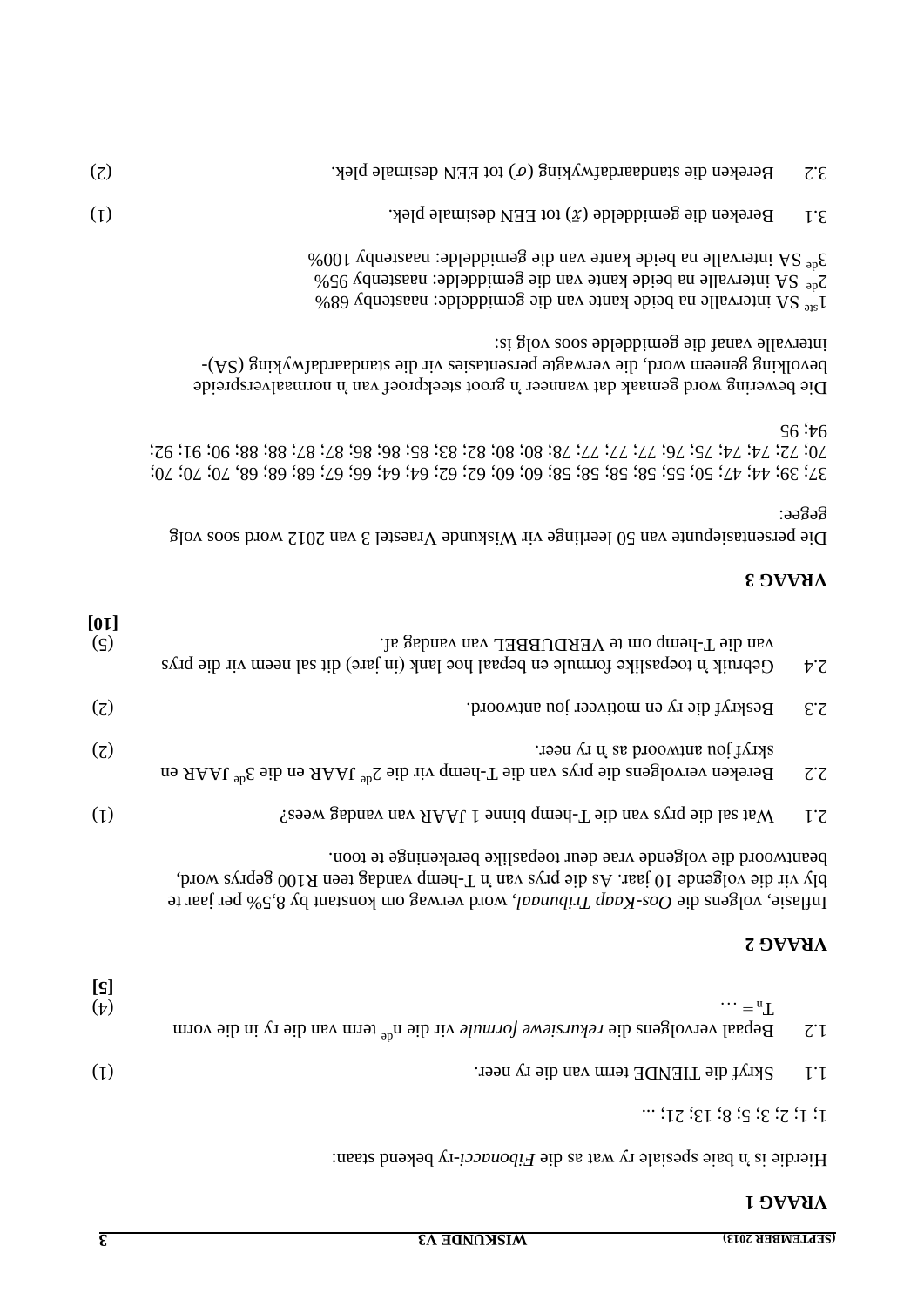### **1 VRAAG**

 $1; 1; 2; 3; 5; 8; 13; 21; ...$ 

Hierdie is 'n baie spesiale ry wat as die Fibonacci-ry bekend staan:

|                 | Inflast, volgens die Oos-Kaap Tribunad, word verwag om konstant by 8,5% per jaar te                                    |        |
|-----------------|------------------------------------------------------------------------------------------------------------------------|--------|
|                 | <b>VRAAG 2</b>                                                                                                         |        |
| [s]<br>$(\dag)$ | $\cdots = "L$<br>Bepaal vervolgens die rekursiewe formule vir die n <sup>de</sup> term van die vr $\alpha$ in die vorm | $Z^*I$ |
| (I)             | Skryf die TIENDE term van die ry neer.                                                                                 | 1.1    |

bly vir die volgende 10 jaar. As die prys van 'n Indiag meen aan R100 geprys word, . beantwoord die volgende vrae deur toepaslike berekeninge te toon

| [01]<br>$(\varsigma)$ | van die T-hemp om te VERDUBBEL van vandag af.<br>Gebruik 'n toepaslike formule en bepaal hoe lank (in jare) dit sal neem vir die prys | $\overline{v}$                    |
|-----------------------|---------------------------------------------------------------------------------------------------------------------------------------|-----------------------------------|
| $\left( 7\right)$     | Beskryf die ry en motiveer jou antwoord.                                                                                              | EZ                                |
| (7)                   | skryf jou antwoord as 'n ry neer.<br>Bereken vervolgens die prys van die T-hemp vir die $2^{ab}$ JAAR en die $3^{ab}$ JAAR en         | $\mathcal{I}^{\cdot} \mathcal{I}$ |
| (I)                   | Wat sal die prys van die T-hemd binne 1 JAAR van vandag wees?                                                                         | $l^{\prime}$                      |

### **3 VRAAG**

Die persentasiepunte van 50 leerlinge vir Wiskunde Vraestel 3 van 2012 word soos volg  $:$ ə $\mathfrak{g}$ ə $\mathfrak{g}$ 

64; 64; 66; 67; 68; 68; 68, 70; 70; 70; 37; 39; 44; 47; 50; 55; 58; 58; 58; 58; 60; 60; 62; 62; 70; 72; 74; 74; 75; 76; 77; 77; 77; 78; 80; 80; 82; 83; 85; 86; 86; 87; 87; 88; 88; 90; 91; 92;  $\sqrt{6}$ ; 56

Die bewering word gemaak dat wanneer 'n groot steekproef van 'n normaalverspreide bevolking geneem word, die verwagte persentasies vir die standaardafwyking (SA)-: intervalle vanaf die gemiddelde soos volg is

1 ste SA intervalle na beide kante van die gemiddelde: naastenby 68% 2 de SA intervalle na beide kante van die gemiddelde: naastenby 95%  $3^{46}$  SA intervalle na beide kante van die gemiddehe: naastenby 100%

| (z) | Bereken die standaardafwyking ( $\sigma$ ) tot EEN desimale plek. | $\mathcal{I}^{\cdot} \mathcal{E}$ |
|-----|-------------------------------------------------------------------|-----------------------------------|
|     | Bereken die gemiddelde $(\bar{x})$ tot EEN desimale plek.         |                                   |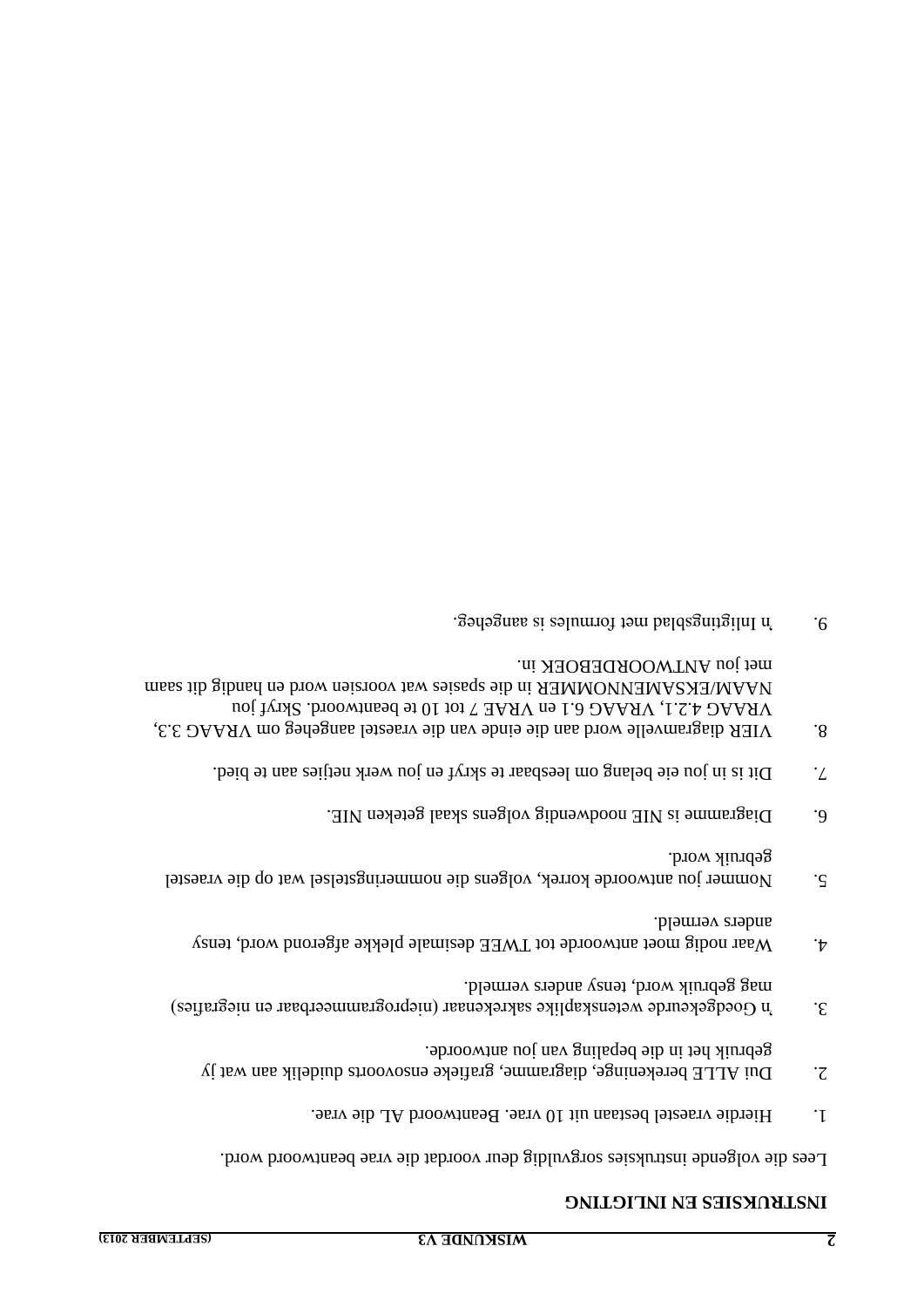### **INSTRUKSIES EN INLIGTING**

. Lees die volgende instruksies sorgvuldig deur voordat die vrae beantwoord word

- . Beantwoord AL die vraestel bestaan uit 10 vrae. Bestaan vrae. 1
- Dui ALLE berekeninge, diagramme, grafieke ensovoorts duidelik aan wat jy 2. . gebruik het in die bepaling van jou antwoorde
- $3.$   $\qquad$   $\qquad$   $\qquad$   $\qquad$   $\qquad$   $\qquad$   $\qquad$   $\qquad$   $\qquad$   $\qquad$   $\qquad$   $\qquad$   $\qquad$   $\qquad$   $\qquad$   $\qquad$   $\qquad$   $\qquad$   $\qquad$   $\qquad$   $\qquad$   $\qquad$   $\qquad$   $\qquad$   $\qquad$   $\qquad$   $\qquad$   $\qquad$   $\qquad$   $\qquad$   $\qquad$   $\qquad$   $\qquad$   $\qquad$   $\qquad$   $\qquad$  mag gebruik word, tensy anders vermeld.
- 4. Waar nodig moet antwoorde tot TWEE desimale plekke afgerond word, tensy anders vermeld.
- $5.$  Nommer jou antwoorde korrek, volgens die nommeringstelsel wat op die vraestel . gebruik word
- 6.  $\Box$  Diagramme is NIE noodwendig volgens akaal geteken NIE.
- T. Dit is in jou eie belang om leesbaar te skryf en jou werk neijies aan te bied.
- VIER diagramvelle word aan die einde van die vraestel aangeheg om VRAAG 3.3, 8. VRAAG 4.2.1, VRAAG 6.1 en VRAE 7 tot 10 te beantwoord. Skryf jou NAAM/EKSAMENNOMMER in die spasies wat voorsien word en handig dit saam . met jou ANTWOORDEBOEK in
- 9. In Inligtingsblad met formules is aangeheg.